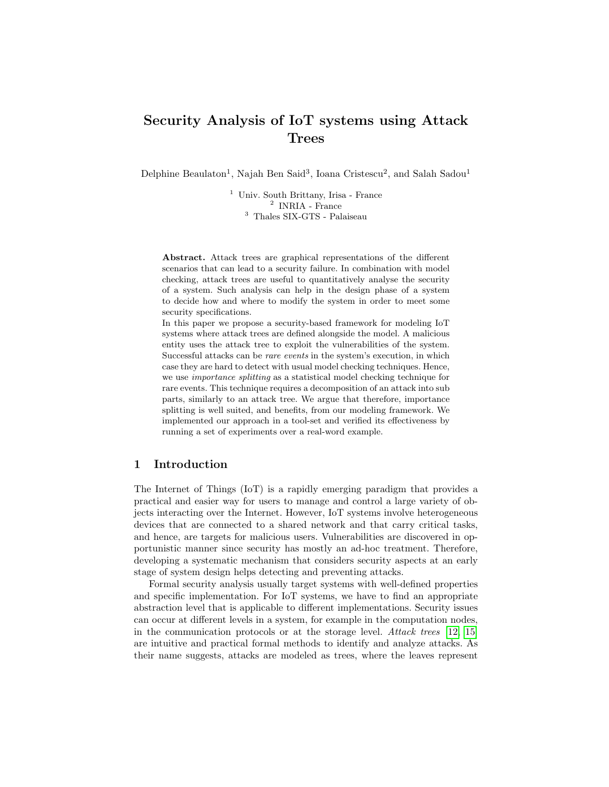## Security Analysis of IoT systems using Attack Trees

Delphine Beaulaton<sup>1</sup>, Najah Ben Said<sup>3</sup>, Ioana Cristescu<sup>2</sup>, and Salah Sadou<sup>1</sup>

<sup>1</sup> Univ. South Brittany, Irisa - France  $^2$  INRIA - France <sup>3</sup> Thales SIX-GTS - Palaiseau

Abstract. Attack trees are graphical representations of the different scenarios that can lead to a security failure. In combination with model checking, attack trees are useful to quantitatively analyse the security of a system. Such analysis can help in the design phase of a system to decide how and where to modify the system in order to meet some security specifications.

In this paper we propose a security-based framework for modeling IoT systems where attack trees are defined alongside the model. A malicious entity uses the attack tree to exploit the vulnerabilities of the system. Successful attacks can be rare events in the system's execution, in which case they are hard to detect with usual model checking techniques. Hence, we use importance splitting as a statistical model checking technique for rare events. This technique requires a decomposition of an attack into sub parts, similarly to an attack tree. We argue that therefore, importance splitting is well suited, and benefits, from our modeling framework. We implemented our approach in a tool-set and verified its effectiveness by running a set of experiments over a real-word example.

## 1 Introduction

The Internet of Things (IoT) is a rapidly emerging paradigm that provides a practical and easier way for users to manage and control a large variety of objects interacting over the Internet. However, IoT systems involve heterogeneous devices that are connected to a shared network and that carry critical tasks, and hence, are targets for malicious users. Vulnerabilities are discovered in opportunistic manner since security has mostly an ad-hoc treatment. Therefore, developing a systematic mechanism that considers security aspects at an early stage of system design helps detecting and preventing attacks.

Formal security analysis usually target systems with well-defined properties and specific implementation. For IoT systems, we have to find an appropriate abstraction level that is applicable to different implementations. Security issues can occur at different levels in a system, for example in the computation nodes, in the communication protocols or at the storage level. Attack trees  $[12, 15]$  $[12, 15]$ are intuitive and practical formal methods to identify and analyze attacks. As their name suggests, attacks are modeled as trees, where the leaves represent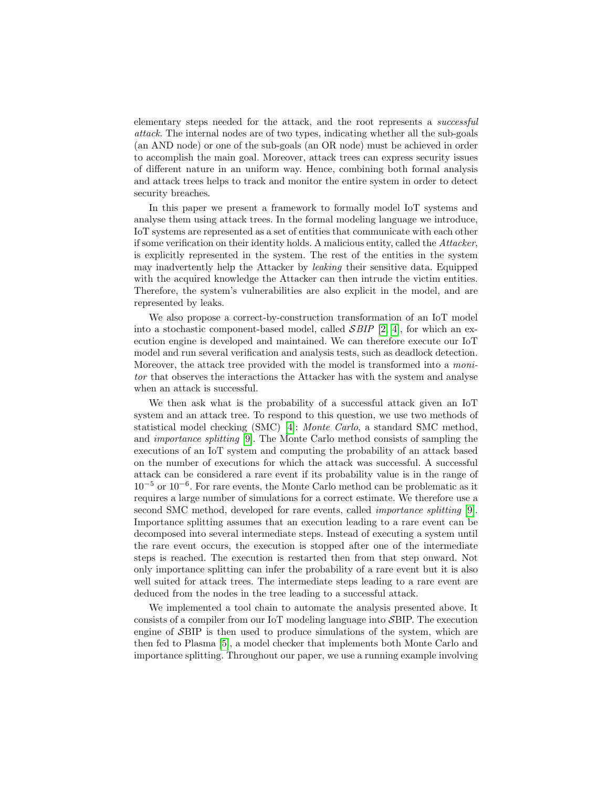elementary steps needed for the attack, and the root represents a successful attack. The internal nodes are of two types, indicating whether all the sub-goals (an AND node) or one of the sub-goals (an OR node) must be achieved in order to accomplish the main goal. Moreover, attack trees can express security issues of different nature in an uniform way. Hence, combining both formal analysis and attack trees helps to track and monitor the entire system in order to detect security breaches.

In this paper we present a framework to formally model IoT systems and analyse them using attack trees. In the formal modeling language we introduce, IoT systems are represented as a set of entities that communicate with each other if some verification on their identity holds. A malicious entity, called the Attacker, is explicitly represented in the system. The rest of the entities in the system may inadvertently help the Attacker by leaking their sensitive data. Equipped with the acquired knowledge the Attacker can then intrude the victim entities. Therefore, the system's vulnerabilities are also explicit in the model, and are represented by leaks.

We also propose a correct-by-construction transformation of an IoT model into a stochastic component-based model, called  $SBIP$  [\[2,](#page-17-0) [4\]](#page-17-1), for which an execution engine is developed and maintained. We can therefore execute our IoT model and run several verification and analysis tests, such as deadlock detection. Moreover, the attack tree provided with the model is transformed into a monitor that observes the interactions the Attacker has with the system and analyse when an attack is successful.

We then ask what is the probability of a successful attack given an IoT system and an attack tree. To respond to this question, we use two methods of statistical model checking (SMC) [\[4\]](#page-17-1): Monte Carlo, a standard SMC method, and importance splitting [\[9\]](#page-18-2). The Monte Carlo method consists of sampling the executions of an IoT system and computing the probability of an attack based on the number of executions for which the attack was successful. A successful attack can be considered a rare event if its probability value is in the range of 10<sup>−</sup><sup>5</sup> or 10<sup>−</sup><sup>6</sup> . For rare events, the Monte Carlo method can be problematic as it requires a large number of simulations for a correct estimate. We therefore use a second SMC method, developed for rare events, called importance splitting [\[9\]](#page-18-2). Importance splitting assumes that an execution leading to a rare event can be decomposed into several intermediate steps. Instead of executing a system until the rare event occurs, the execution is stopped after one of the intermediate steps is reached. The execution is restarted then from that step onward. Not only importance splitting can infer the probability of a rare event but it is also well suited for attack trees. The intermediate steps leading to a rare event are deduced from the nodes in the tree leading to a successful attack.

We implemented a tool chain to automate the analysis presented above. It consists of a compiler from our IoT modeling language into SBIP. The execution engine of SBIP is then used to produce simulations of the system, which are then fed to Plasma [\[5\]](#page-17-2), a model checker that implements both Monte Carlo and importance splitting. Throughout our paper, we use a running example involving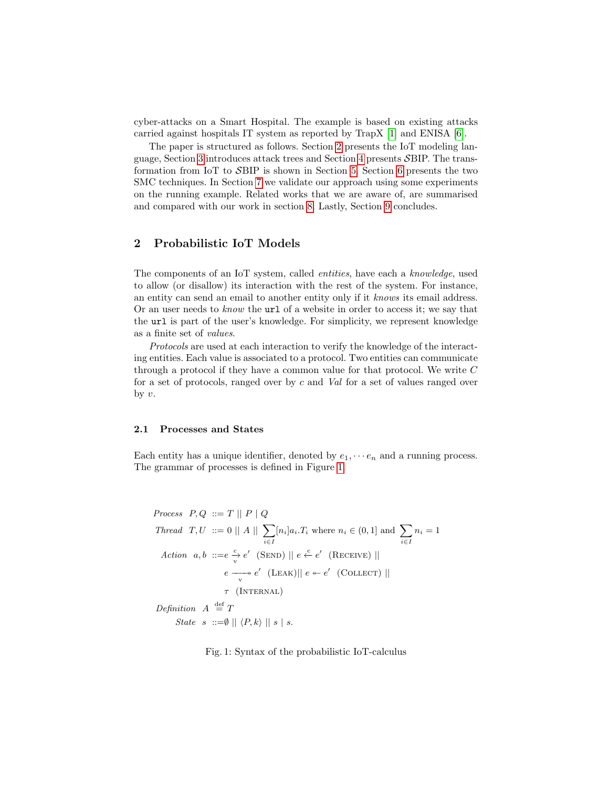cyber-attacks on a Smart Hospital. The example is based on existing attacks carried against hospitals IT system as reported by TrapX [\[1\]](#page-17-3) and ENISA [\[6\]](#page-17-4).

The paper is structured as follows. Section [2](#page-2-0) presents the IoT modeling language, Section [3](#page-6-0) introduces attack trees and Section [4](#page-7-0) presents SBIP. The transformation from IoT to  $\mathcal{S}$ BIP is shown in Section [5.](#page-10-0) Section [6](#page-13-0) presents the two SMC techniques. In Section [7](#page-15-0) we validate our approach using some experiments on the running example. Related works that we are aware of, are summarised and compared with our work in section [8.](#page-16-0) Lastly, Section [9](#page-17-5) concludes.

## <span id="page-2-0"></span>2 Probabilistic IoT Models

The components of an IoT system, called entities, have each a knowledge, used to allow (or disallow) its interaction with the rest of the system. For instance, an entity can send an email to another entity only if it knows its email address. Or an user needs to know the url of a website in order to access it; we say that the url is part of the user's knowledge. For simplicity, we represent knowledge as a finite set of values.

Protocols are used at each interaction to verify the knowledge of the interacting entities. Each value is associated to a protocol. Two entities can communicate through a protocol if they have a common value for that protocol. We write C for a set of protocols, ranged over by c and Val for a set of values ranged over by  $v$ .

#### 2.1 Processes and States

Each entity has a unique identifier, denoted by  $e_1, \dots, e_n$  and a running process. The grammar of processes is defined in Figure [1.](#page-2-1)

<span id="page-2-1"></span>Process  $P, Q ::= T \parallel P \mid Q$ Thread  $T, U ::= 0 || A || \sum$ i∈I  $[n_i]a_i \cdot T_i$  where  $n_i \in (0,1]$  and  $\sum$ i∈I  $n_i=1$ Action  $a, b \ ::= e \frac{c}{v} e'$  (SEND)  $|| e \stackrel{c}{\leftarrow} e'$  (RECEIVE)  $||$  $e \longrightarrow e'$  (LEAK)||  $e \leftarrow e'$  (COLLECT) ||  $\tau$  (INTERNAL) Definition  $A \stackrel{\text{def}}{=} T$ 

State  $s ::= \emptyset \mid \langle P, k \rangle \mid s \mid s$ .

Fig. 1: Syntax of the probabilistic IoT-calculus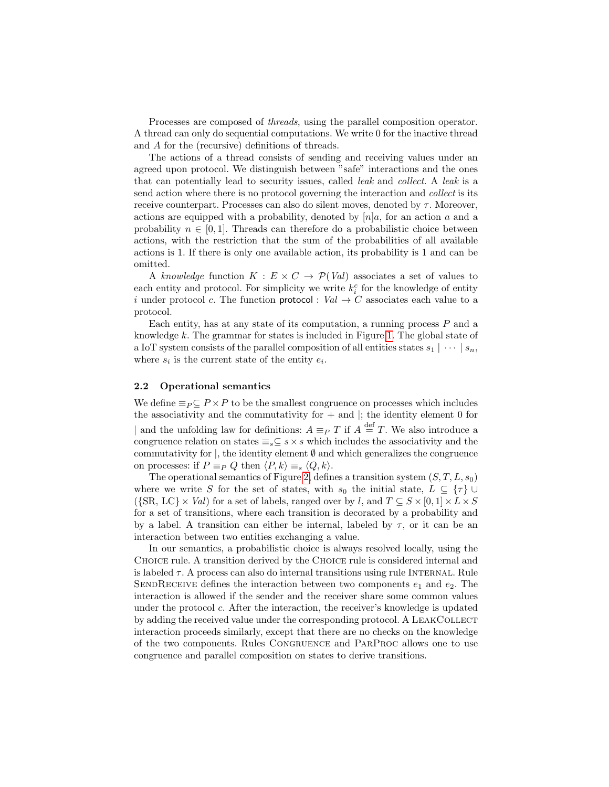Processes are composed of threads, using the parallel composition operator. A thread can only do sequential computations. We write 0 for the inactive thread and A for the (recursive) definitions of threads.

The actions of a thread consists of sending and receiving values under an agreed upon protocol. We distinguish between "safe" interactions and the ones that can potentially lead to security issues, called leak and collect. A leak is a send action where there is no protocol governing the interaction and collect is its receive counterpart. Processes can also do silent moves, denoted by  $\tau$ . Moreover, actions are equipped with a probability, denoted by  $[n]a$ , for an action a and a probability  $n \in [0, 1]$ . Threads can therefore do a probabilistic choice between actions, with the restriction that the sum of the probabilities of all available actions is 1. If there is only one available action, its probability is 1 and can be omitted.

A knowledge function  $K : E \times C \rightarrow \mathcal{P}(Val)$  associates a set of values to each entity and protocol. For simplicity we write  $k_i^c$  for the knowledge of entity i under protocol c. The function protocol :  $Val \rightarrow C$  associates each value to a protocol.

Each entity, has at any state of its computation, a running process  $P$  and a knowledge k. The grammar for states is included in Figure [1.](#page-2-1) The global state of a IoT system consists of the parallel composition of all entities states  $s_1 | \cdots | s_n$ , where  $s_i$  is the current state of the entity  $e_i$ .

#### 2.2 Operational semantics

We define  $\equiv_P \subseteq P \times P$  to be the smallest congruence on processes which includes the associativity and the commutativity for  $+$  and  $|$ ; the identity element 0 for | and the unfolding law for definitions:  $A \equiv_P T$  if  $A \stackrel{\text{def}}{=} T$ . We also introduce a congruence relation on states  $\equiv_s \subseteq s \times s$  which includes the associativity and the commutativity for  $\vert$ , the identity element  $\emptyset$  and which generalizes the congruence on processes: if  $P \equiv_P Q$  then  $\langle P, k \rangle \equiv_s \langle Q, k \rangle$ .

The operational semantics of Figure [2,](#page-4-0) defines a transition system  $(S, T, L, s_0)$ where we write S for the set of states, with  $s_0$  the initial state,  $L \subseteq \{\tau\} \cup$ ( $\{SR, LC\} \times Val$ ) for a set of labels, ranged over by l, and  $T \subseteq S \times [0, 1] \times L \times S$ for a set of transitions, where each transition is decorated by a probability and by a label. A transition can either be internal, labeled by  $\tau$ , or it can be an interaction between two entities exchanging a value.

In our semantics, a probabilistic choice is always resolved locally, using the Choice rule. A transition derived by the Choice rule is considered internal and is labeled  $\tau$ . A process can also do internal transitions using rule INTERNAL. Rule SENDRECEIVE defines the interaction between two components  $e_1$  and  $e_2$ . The interaction is allowed if the sender and the receiver share some common values under the protocol c. After the interaction, the receiver's knowledge is updated by adding the received value under the corresponding protocol. A LEAKCOLLECT interaction proceeds similarly, except that there are no checks on the knowledge of the two components. Rules Congruence and ParProc allows one to use congruence and parallel composition on states to derive transitions.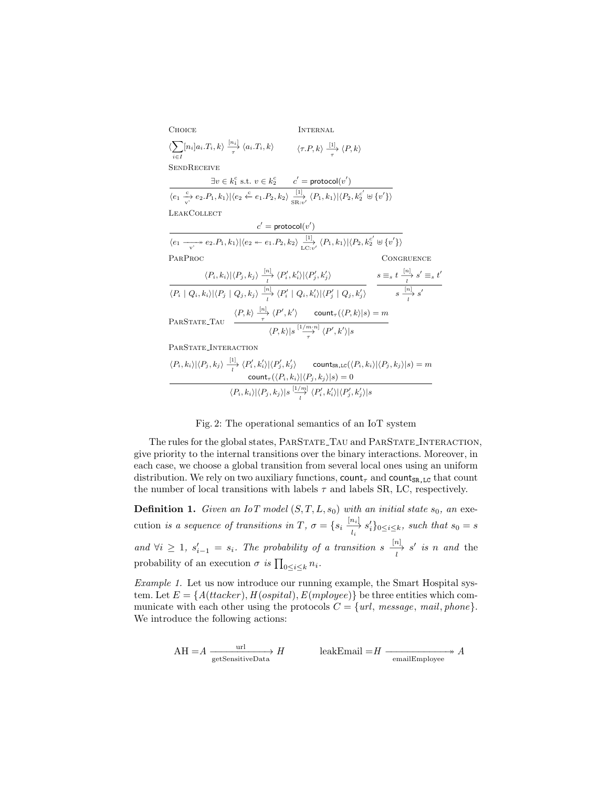<span id="page-4-0"></span>

| Сноісе                                                                                                                                                                                                                             | <b>INTERNAL</b>                                                                                                                                                                                                                                   |                                             |  |  |  |  |  |
|------------------------------------------------------------------------------------------------------------------------------------------------------------------------------------------------------------------------------------|---------------------------------------------------------------------------------------------------------------------------------------------------------------------------------------------------------------------------------------------------|---------------------------------------------|--|--|--|--|--|
| $\langle \sum [n_i] a_i.T_i, k \rangle \frac{ n_i }{\tau} \langle a_i.T_i, k \rangle$<br>$i \subseteq I$                                                                                                                           | $\langle \tau.P, k \rangle \stackrel{[1]}{\longrightarrow} \langle P, k \rangle$                                                                                                                                                                  |                                             |  |  |  |  |  |
| <b>SENDRECEIVE</b>                                                                                                                                                                                                                 |                                                                                                                                                                                                                                                   |                                             |  |  |  |  |  |
| $\exists v \in k_1^c \text{ s.t. } v \in k_2^c$ $c' = \text{protocol}(v')$                                                                                                                                                         |                                                                                                                                                                                                                                                   |                                             |  |  |  |  |  |
| $\langle e_1 \xrightarrow[\cdots]{c} e_2.P_1,k_1 \rangle  \langle e_2 \xleftarrow{\mathcal{C}} e_1.P_2,k_2 \rangle \xrightarrow[\mathcal{S}_{\text{Pov}}]{[1]} \langle P_1,k_1 \rangle  \langle P_2,k_2^{c'} \uplus \{v'\}\rangle$ |                                                                                                                                                                                                                                                   |                                             |  |  |  |  |  |
| LEAKCOLLECT                                                                                                                                                                                                                        |                                                                                                                                                                                                                                                   |                                             |  |  |  |  |  |
| $c' =$ protocol $(v')$                                                                                                                                                                                                             |                                                                                                                                                                                                                                                   |                                             |  |  |  |  |  |
| $\langle e_1 \xrightarrow[V \rightarrow v]{} e_2.P_1, k_1 \rangle \langle e_2 \leftarrow e_1.P_2, k_2 \rangle \xrightarrow[\text{Cav}]{[1]} \langle P_1, k_1 \rangle \langle P_2, k_2^{c'} \rightleftharpoons \{v'\}\rangle$       |                                                                                                                                                                                                                                                   |                                             |  |  |  |  |  |
| PARPROC                                                                                                                                                                                                                            |                                                                                                                                                                                                                                                   | CONGRUENCE                                  |  |  |  |  |  |
|                                                                                                                                                                                                                                    |                                                                                                                                                                                                                                                   |                                             |  |  |  |  |  |
| $\langle P_i, k_i \rangle  \langle P_j, k_j \rangle \frac{ n }{l} \langle P'_i, k'_i \rangle  \langle P'_j, k'_j \rangle$                                                                                                          |                                                                                                                                                                                                                                                   | $s \equiv_s t \frac{ n }{l} s' \equiv_s t'$ |  |  |  |  |  |
| $\langle P_i \mid Q_i, k_i \rangle  \langle P_j \mid Q_j, k_j \rangle \xrightarrow[\quad]{[n]} \langle P'_i \mid Q_i, k'_i \rangle  \langle P'_j \mid Q_j, k'_j \rangle \qquad \qquad s \xrightarrow{[n]} s'$                      |                                                                                                                                                                                                                                                   |                                             |  |  |  |  |  |
| PARSTATE_TAU                                                                                                                                                                                                                       | $\label{eq:2.1} \langle P,k\rangle\xrightarrow[\tau]{\scriptstyle  n\rangle}\langle P',k'\rangle\qquad\text{count}_\tau(\langle P,k\rangle s)=m$<br>$\langle P, k \rangle  s \stackrel{[1/m \cdot n]}{\longrightarrow} \langle P', k' \rangle  s$ |                                             |  |  |  |  |  |
| PARSTATE_INTERACTION                                                                                                                                                                                                               |                                                                                                                                                                                                                                                   |                                             |  |  |  |  |  |

# $\langle P_i, k_i\rangle|\langle P_j, k_j\rangle|s \stackrel{[1/m]}{\longrightarrow}\langle P_i', k_i'\rangle|\langle P_j', k_j'\rangle|s$

count $\tau(\langle P_i, k_i \rangle |\langle P_j, k_j \rangle | s) = 0$ 

#### Fig. 2: The operational semantics of an IoT system

The rules for the global states, PARSTATE\_TAU and PARSTATE\_INTERACTION, give priority to the internal transitions over the binary interactions. Moreover, in each case, we choose a global transition from several local ones using an uniform distribution. We rely on two auxiliary functions,  $count_{\tau}$  and  $count_{SR, LC}$  that count the number of local transitions with labels  $\tau$  and labels SR, LC, respectively.

**Definition 1.** Given an IoT model  $(S, T, L, s_0)$  with an initial state  $s_0$ , an execution is a sequence of transitions in T,  $\sigma = \{s_i \frac{[n_i]}{l_i}, s'_i\}_{0 \le i \le k},$  such that  $s_0 = s$ and  $\forall i \geq 1, s'_{i-1} = s_i$ . The probability of a transition  $s \frac{[n]}{l} s'$  is n and the probability of an execution  $\sigma$  is  $\prod_{0 \leq i \leq k} n_i$ .

<span id="page-4-1"></span>Example 1. Let us now introduce our running example, the Smart Hospital system. Let  $E = \{A(ttoker), H(ospital), E(mployee)\}\$ be three entities which communicate with each other using the protocols  $C = \{url, message, mail, phone\}.$ We introduce the following actions:

$$
AH = A \xrightarrow{\text{url}} H
$$
\n
$$
\longrightarrow H
$$
\n
$$
\text{leakEmail} = H \xrightarrow{\text{emailEmployee}} A
$$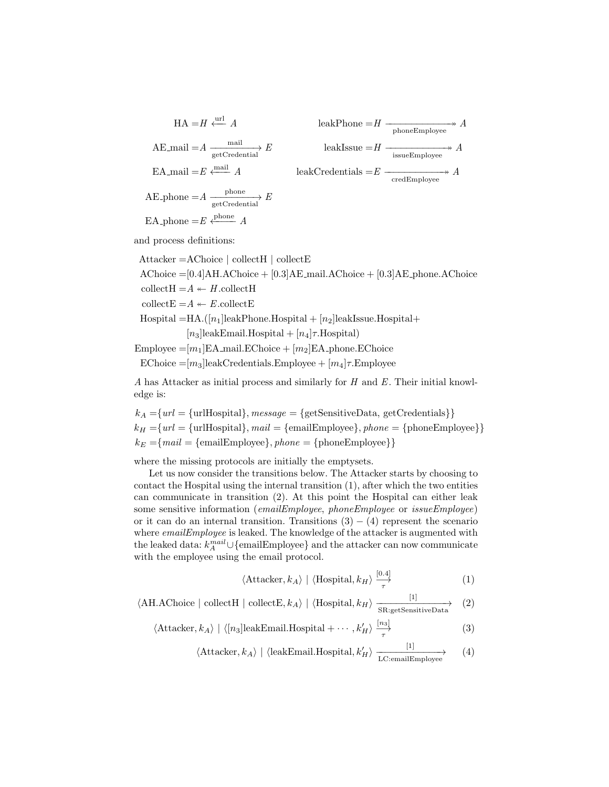$$
HA = H \xleftarrow{\text{url}} A
$$
 leakPhone = H  $\xrightarrow{\text{phone}_\text{phone}_\text{Employee}} A$   
AE-mail =  $A \xrightarrow{\text{mail}} E$  leakIssue =  $H \xrightarrow{\text{issue}_\text{Imployee}} A$   
EA-mail =  $E \xleftarrow{\text{mail}} A$  leakCredentials =  $E \xrightarrow{\text{cred}_\text{Imployee}} A$   
AE.phpove =  $A \xrightarrow{\text{phone}} E$ 

EA\_phone =  $E \xleftarrow{\text{phone}} A$ 

and process definitions:

Attacker =<br>AChoice  $|$  collect<br/>H $|$ collect<br>E  $\text{AChoice} = [0.4] \text{AH}. \text{AChoice} + [0.3] \text{AE}$ \_mail. $\text{AChoice} + [0.3] \text{AE}$ \_phone. $\text{AChoice}$  $\text{collectH} = \text{$A$} \leftarrow \text{$H$}. \text{collectH}$ collect  $E = A \leftarrow E$ .collect  $E$  $Hospital = HA.(n_1]leakPhone.Hospital + [n_2]leakIssue.Hospital +$  $[n_3]$ leakEmail.Hospital +  $[n_4]$ *T*.Hospital)  $Employee = [m_1]EA_mail.EChoice + [m_2]EA_phone.EChoice$  $EC$ hoice = $[m_3]$ leakCredentials.Employee +  $[m_4]$ 7.Employee

A has Attacker as initial process and similarly for H and E. Their initial knowledge is:

 $k_A = \{url = \{urlHospital\}, message = \{getSensitiveData, getCredentials\}\}\$  $k_H = \{url = \{urlHospital\}, mail = \{emailEmplogee\}, phone = \{phoneEmplogee\}\}\$  $k_E = \{mail = \{emailEmplogee\}, phone = \{phoneEmplogee\}\}\$ 

where the missing protocols are initially the emptysets.

Let us now consider the transitions below. The Attacker starts by choosing to contact the Hospital using the internal transition (1), after which the two entities can communicate in transition (2). At this point the Hospital can either leak some sensitive information (*emailEmployee*, *phoneEmployee* or *issueEmployee*) or it can do an internal transition. Transitions  $(3) - (4)$  represent the scenario where *emailEmployee* is leaked. The knowledge of the attacker is augmented with the leaked data:  $k_A^{mail} \cup \{ \text{emailEmployee} \}$  and the attacker can now communicate with the employee using the email protocol.

$$
\langle \text{Attacker}, k_A \rangle \mid \langle \text{Hospital}, k_H \rangle \xrightarrow[\tau]{[0.4]} \tag{1}
$$

$$
\langle AH, AC \text{hoice } | \text{ collect } H | \text{ collect } E, k_A \rangle | \langle \text{Hospital}, k_H \rangle \xrightarrow[\text{sn:getSensitiveData}]{[1]} (2)
$$

$$
\langle \text{Attacker}, k_A \rangle \mid \langle [n_3] \text{leakEmail}.\text{Hospital} + \cdots, k'_H \rangle \xrightarrow{[n_3]} \tag{3}
$$

$$
\langle \text{Attacker}, k_A \rangle \mid \langle \text{leakEmail.Hospital}, k'_H \rangle \xrightarrow[LC: emailEmployee]{[1]} \longrightarrow (4)
$$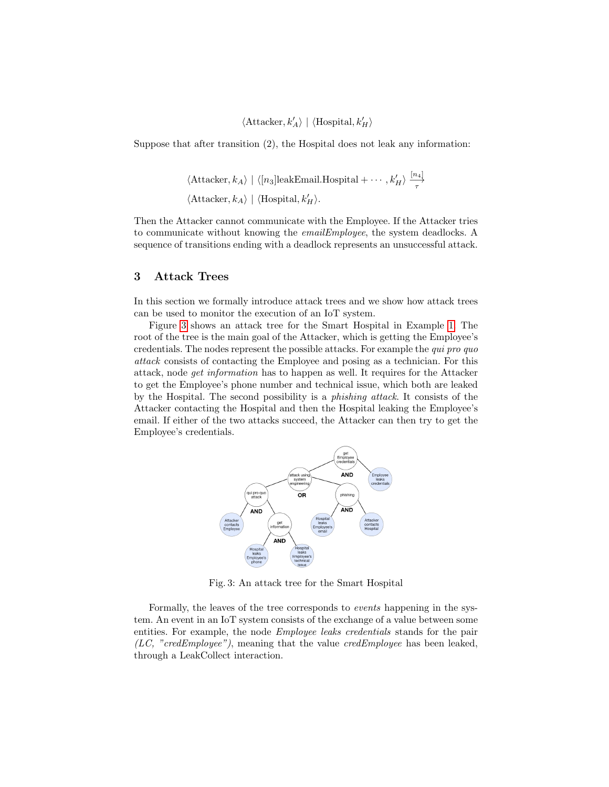$\langle \text{Attacker}, k_A' \rangle ~|~ \langle \text{Hospital}, k_H' \rangle$ 

Suppose that after transition (2), the Hospital does not leak any information:

```
\langleAttacker, k_A \rangle \mid \langle [n_3]leakEmail.Hospital + · · · , k'_H \rangle \frac{[n_4]}{\tau'}\langle \text{Attacker}, k_A \rangle \ | \ \langle \text{Hospital}, k_H' \rangle.
```
Then the Attacker cannot communicate with the Employee. If the Attacker tries to communicate without knowing the emailEmployee, the system deadlocks. A sequence of transitions ending with a deadlock represents an unsuccessful attack.

## <span id="page-6-0"></span>3 Attack Trees

In this section we formally introduce attack trees and we show how attack trees can be used to monitor the execution of an IoT system.

Figure [3](#page-6-1) shows an attack tree for the Smart Hospital in Example [1.](#page-4-1) The root of the tree is the main goal of the Attacker, which is getting the Employee's credentials. The nodes represent the possible attacks. For example the qui pro quo attack consists of contacting the Employee and posing as a technician. For this attack, node get information has to happen as well. It requires for the Attacker to get the Employee's phone number and technical issue, which both are leaked by the Hospital. The second possibility is a phishing attack. It consists of the Attacker contacting the Hospital and then the Hospital leaking the Employee's email. If either of the two attacks succeed, the Attacker can then try to get the Employee's credentials.

<span id="page-6-1"></span>

Fig. 3: An attack tree for the Smart Hospital

Formally, the leaves of the tree corresponds to events happening in the system. An event in an IoT system consists of the exchange of a value between some entities. For example, the node Employee leaks credentials stands for the pair  $(LC, "credEmployee"), meaning that the value *credEmployee* has been leaked,$ through a LeakCollect interaction.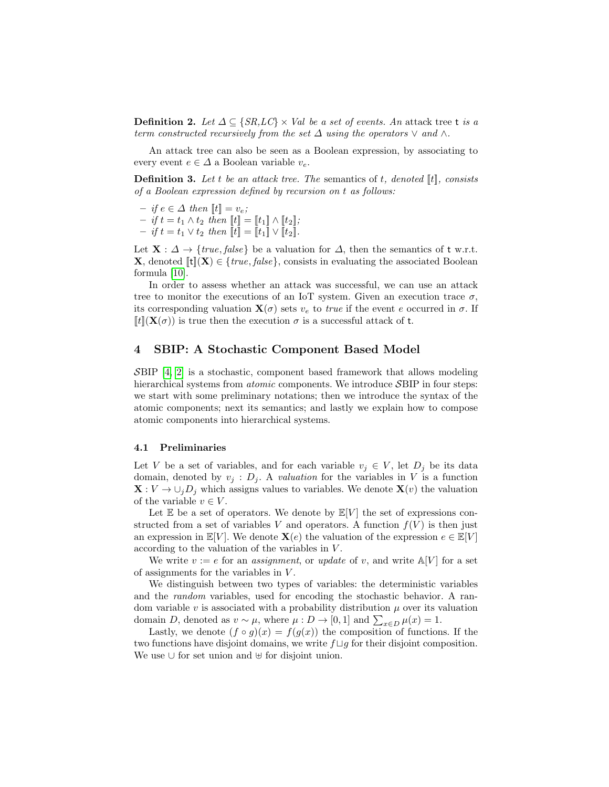**Definition 2.** Let  $\Delta \subseteq \{SR, LC\} \times Val$  be a set of events. An attack tree t is a term constructed recursively from the set  $\Delta$  using the operators  $\vee$  and  $\wedge$ .

An attack tree can also be seen as a Boolean expression, by associating to every event  $e \in \Delta$  a Boolean variable  $v_e$ .

**Definition 3.** Let t be an attack tree. The semantics of t, denoted  $[[t]]$ , consists of a Boolean expression defined by recursion on t as follows:

– if  $e \in \Delta$  then  $[[t]] = v_e$ ;

 $-$  if  $t = t_1 \wedge t_2$  then  $[[t]] = [[t_1]] \wedge [[t_2]]$ ;

 $-$  if  $t = t_1 \vee t_2$  then  $[[t]] = [[t_1]] \vee [[t_2]]$ .

Let  $\mathbf{X} : \Delta \to \{true, false\}$  be a valuation for  $\Delta$ , then the semantics of t w.r.t. **X**, denoted  $[\mathbf{t}](\mathbf{X}) \in \{true, false\}$ , consists in evaluating the associated Boolean formula [\[10\]](#page-18-3).

In order to assess whether an attack was successful, we can use an attack tree to monitor the executions of an IoT system. Given an execution trace  $\sigma$ , its corresponding valuation  $\mathbf{X}(\sigma)$  sets  $v_e$  to true if the event e occurred in  $\sigma$ . If  $\llbracket t \rrbracket(\mathbf{X}(\sigma))$  is true then the execution  $\sigma$  is a successful attack of t.

## <span id="page-7-0"></span>4 SBIP: A Stochastic Component Based Model

SBIP [\[4,](#page-17-1) [2\]](#page-17-0) is a stochastic, component based framework that allows modeling hierarchical systems from *atomic* components. We introduce SBIP in four steps: we start with some preliminary notations; then we introduce the syntax of the atomic components; next its semantics; and lastly we explain how to compose atomic components into hierarchical systems.

#### 4.1 Preliminaries

Let V be a set of variables, and for each variable  $v_i \in V$ , let  $D_i$  be its data domain, denoted by  $v_j : D_j$ . A valuation for the variables in V is a function  $\mathbf{X}: V \to \cup_j D_j$  which assigns values to variables. We denote  $\mathbf{X}(v)$  the valuation of the variable  $v \in V$ .

Let  $E$  be a set of operators. We denote by  $E[V]$  the set of expressions constructed from a set of variables V and operators. A function  $f(V)$  is then just an expression in  $\mathbb{E}[V]$ . We denote  $\mathbf{X}(e)$  the valuation of the expression  $e \in \mathbb{E}[V]$ according to the valuation of the variables in V .

We write  $v := e$  for an *assignment*, or *update* of v, and write  $\mathbb{A}[V]$  for a set of assignments for the variables in  $V$ .

We distinguish between two types of variables: the deterministic variables and the random variables, used for encoding the stochastic behavior. A random variable v is associated with a probability distribution  $\mu$  over its valuation domain D, denoted as  $v \sim \mu$ , where  $\mu : D \to [0, 1]$  and  $\sum_{x \in D} \mu(x) = 1$ .

Lastly, we denote  $(f \circ g)(x) = f(g(x))$  the composition of functions. If the two functions have disjoint domains, we write  $f \sqcup g$  for their disjoint composition. We use  $\cup$  for set union and  $\uplus$  for disjoint union.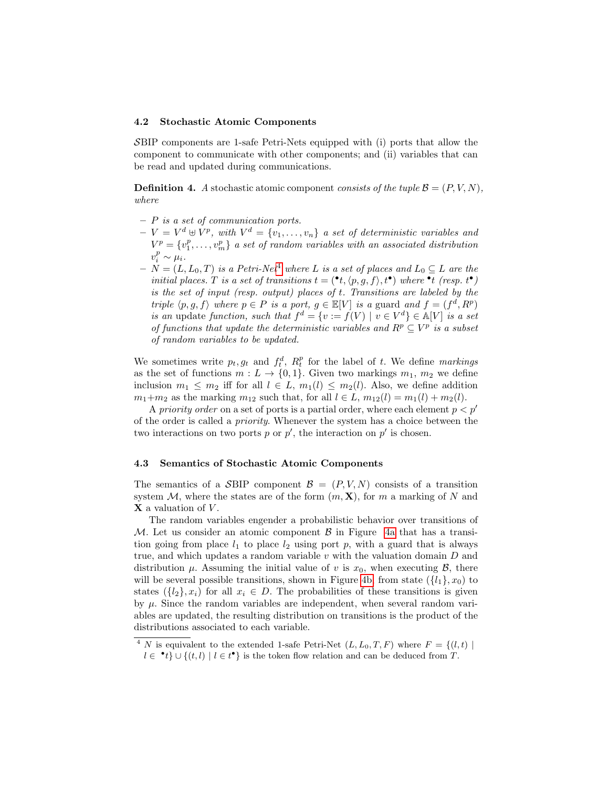#### 4.2 Stochastic Atomic Components

SBIP components are 1-safe Petri-Nets equipped with (i) ports that allow the component to communicate with other components; and (ii) variables that can be read and updated during communications.

**Definition 4.** A stochastic atomic component consists of the tuple  $\mathcal{B} = (P, V, N)$ , where

- $P$  is a set of communication ports.
- $-V = V^d \oplus V^p$ , with  $V^d = \{v_1, \ldots, v_n\}$  a set of deterministic variables and  $V^p = \{v_1^p, \ldots, v_m^p\}$  a set of random variables with an associated distribution  $v_i^p \sim \mu_i$ .
- $-V = (L, L_0, T)$  is a Petri-Net<sup>[4](#page-8-0)</sup> where L is a set of places and  $L_0 \subseteq L$  are the initial places. T is a set of transitions  $t = (\mathbf{e}_t, \langle p, g, f \rangle, t^{\bullet})$  where  $\mathbf{e}_t$  (resp.  $t^{\bullet}$ ) is the set of input (resp. output) places of t. Transitions are labeled by the triple  $\langle p, g, f \rangle$  where  $p \in P$  is a port,  $g \in \mathbb{E}[V]$  is a guard and  $f = (f^d, R^p)$ is an update function, such that  $f^d = \{v := f(V) \mid v \in V^d\} \in \mathbb{A}[V]$  is a set of functions that update the deterministic variables and  $R^p \subseteq V^p$  is a subset of random variables to be updated.

We sometimes write  $p_t, g_t$  and  $f_t^d, R_t^p$  for the label of t. We define markings as the set of functions  $m: L \to \{0,1\}$ . Given two markings  $m_1, m_2$  we define inclusion  $m_1 \leq m_2$  iff for all  $l \in L$ ,  $m_1(l) \leq m_2(l)$ . Also, we define addition  $m_1+m_2$  as the marking  $m_{12}$  such that, for all  $l \in L$ ,  $m_{12}(l) = m_1(l) + m_2(l)$ .

A priority order on a set of ports is a partial order, where each element  $p < p'$ of the order is called a priority. Whenever the system has a choice between the two interactions on two ports p or  $p'$ , the interaction on  $p'$  is chosen.

#### 4.3 Semantics of Stochastic Atomic Components

The semantics of a SBIP component  $\mathcal{B} = (P, V, N)$  consists of a transition system M, where the states are of the form  $(m, X)$ , for m a marking of N and  $X$  a valuation of  $V$ .

The random variables engender a probabilistic behavior over transitions of M. Let us consider an atomic component  $\beta$  in Figure [4a](#page-9-0) that has a transition going from place  $l_1$  to place  $l_2$  using port p, with a guard that is always true, and which updates a random variable  $v$  with the valuation domain  $D$  and distribution  $\mu$ . Assuming the initial value of v is  $x_0$ , when executing  $\beta$ , there will be several possible transitions, shown in Figure [4b,](#page-9-1) from state  $({l_1}, x_0)$  to states  $({l_2}, x_i)$  for all  $x_i \in D$ . The probabilities of these transitions is given by  $\mu$ . Since the random variables are independent, when several random variables are updated, the resulting distribution on transitions is the product of the distributions associated to each variable.

<span id="page-8-0"></span><sup>&</sup>lt;sup>4</sup> N is equivalent to the extended 1-safe Petri-Net  $(L, L_0, T, F)$  where  $F = \{(l, t) \mid$  $l \in \cdot t$   $\cup$  { $(t, l) \mid l \in t^{\bullet}$ } is the token flow relation and can be deduced from T.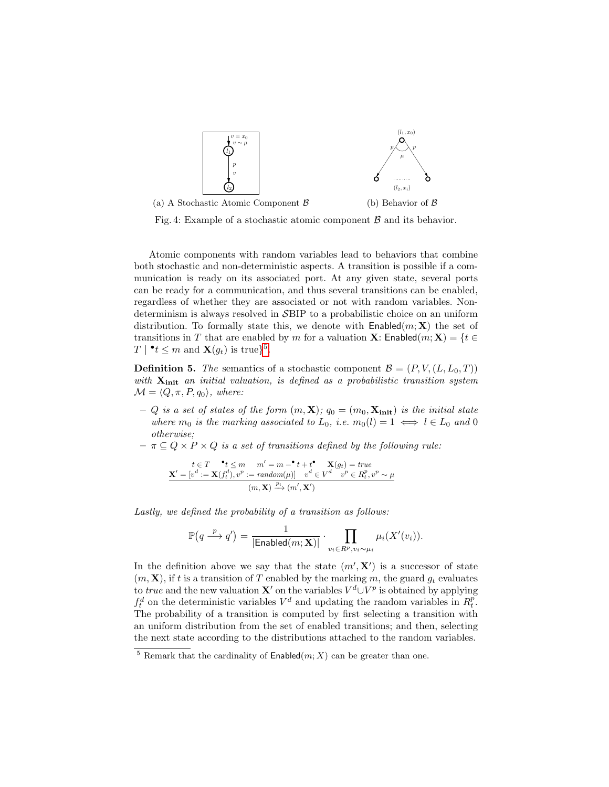<span id="page-9-0"></span>

<span id="page-9-1"></span>Fig. 4: Example of a stochastic atomic component  $\beta$  and its behavior.

Atomic components with random variables lead to behaviors that combine both stochastic and non-deterministic aspects. A transition is possible if a communication is ready on its associated port. At any given state, several ports can be ready for a communication, and thus several transitions can be enabled, regardless of whether they are associated or not with random variables. Nondeterminism is always resolved in SBIP to a probabilistic choice on an uniform distribution. To formally state this, we denote with  $\mathsf{Enabled}(m; \mathbf{X})$  the set of transitions in T that are enabled by m for a valuation **X**: Enabled $(m; \mathbf{X}) = \{t \in$  $T \mid \mathbf{^*}t \leq m$  and  $\mathbf{X}(g_t)$  is true}<sup>[5](#page-9-2)</sup>.

<span id="page-9-3"></span>**Definition 5.** The semantics of a stochastic component  $\mathcal{B} = (P, V, (L, L_0, T))$ with  $X_{init}$  an initial valuation, is defined as a probabilistic transition system  $\mathcal{M} = \langle Q, \pi, P, q_0 \rangle$ , where:

- Q is a set of states of the form  $(m, X)$ ;  $q_0 = (m_0, X_{init})$  is the initial state where  $m_0$  is the marking associated to  $L_0$ , i.e.  $m_0(l) = 1 \iff l \in L_0$  and 0 otherwise;
- $\pi \subseteq Q \times P \times Q$  is a set of transitions defined by the following rule:

$$
\begin{array}{c} t\in T \quad \quad ^{\bullet}t\leq m \quad \ m'=m-\quad ^{\bullet}t+t^{\bullet} \quad \ \mathbf{X}(g_t)=true \\ \mathbf{X}'=[v^d:=\mathbf{X}(f^d_t),v^p:=\textit{random}(\mu)] \quad \ v^d\in V^d \quad \ v^p\in R^p_t, v^p\sim \mu \\ \quad \ (m,\mathbf{X})\xrightarrow{p_t} (m',\mathbf{X}') \end{array}
$$

Lastly, we defined the probability of a transition as follows:

$$
\mathbb{P}\big(q\xrightarrow{p} q'\big)=\frac{1}{|\mathsf{Enabled}(m; \mathbf{X})|}\cdot \prod_{v_i\in R^p, v_i\sim \mu_i}\mu_i(X'(v_i)).
$$

In the definition above we say that the state  $(m', \mathbf{X}')$  is a successor of state  $(m, X)$ , if t is a transition of T enabled by the marking m, the guard  $g_t$  evaluates to *true* and the new valuation **X'** on the variables  $V^d \cup V^p$  is obtained by applying  $f_t^d$  on the deterministic variables  $V^d$  and updating the random variables in  $R_t^p$ . The probability of a transition is computed by first selecting a transition with an uniform distribution from the set of enabled transitions; and then, selecting the next state according to the distributions attached to the random variables.

<span id="page-9-2"></span><sup>&</sup>lt;sup>5</sup> Remark that the cardinality of  $\mathsf{Enabled}(m; X)$  can be greater than one.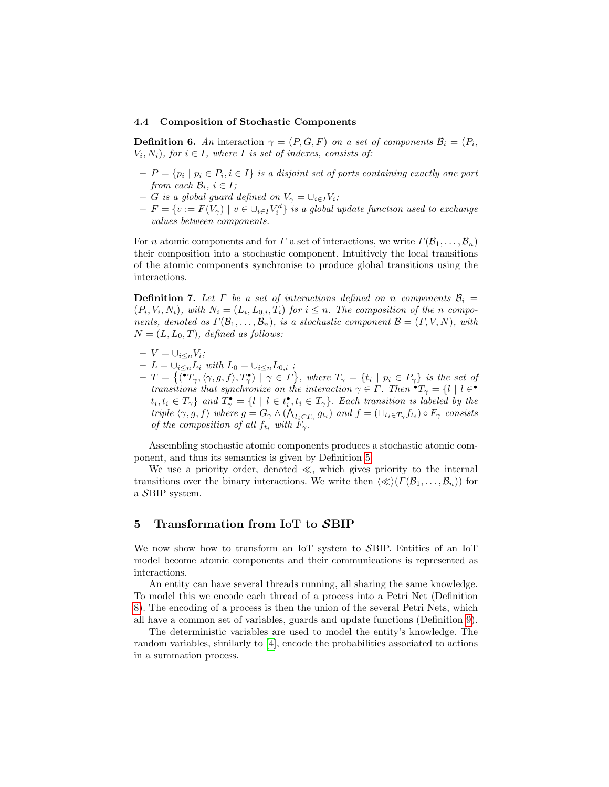#### <span id="page-10-1"></span>4.4 Composition of Stochastic Components

**Definition 6.** An interaction  $\gamma = (P, G, F)$  on a set of components  $\mathcal{B}_i = (P_i, F_i)$  $V_i, N_i$ , for  $i \in I$ , where I is set of indexes, consists of:

- $-P = \{p_i \mid p_i \in P_i, i \in I\}$  is a disjoint set of ports containing exactly one port from each  $\mathcal{B}_i$ ,  $i \in I$ ;
- G is a global guard defined on  $V_{\gamma} = \bigcup_{i \in I} V_i$ ;
- $-F = \{v := F(V_\gamma) \mid v \in \cup_{i \in I} V_i^d\}$  is a global update function used to exchange values between components.

For n atomic components and for  $\Gamma$  a set of interactions, we write  $\Gamma(\mathcal{B}_1, \ldots, \mathcal{B}_n)$ their composition into a stochastic component. Intuitively the local transitions of the atomic components synchronise to produce global transitions using the interactions.

<span id="page-10-2"></span>**Definition 7.** Let  $\Gamma$  be a set of interactions defined on n components  $\mathcal{B}_i =$  $(P_i, V_i, N_i)$ , with  $N_i = (L_i, L_{0,i}, T_i)$  for  $i \leq n$ . The composition of the n components, denoted as  $\Gamma(\mathcal{B}_1,\ldots,\mathcal{B}_n)$ , is a stochastic component  $\mathcal{B} = (\Gamma, V, N)$ , with  $N = (L, L_0, T)$ , defined as follows:

- $-V = \bigcup_{i \leq n} V_i;$
- $L = \cup_{i \leq n} L_i \text{ with } L_0 = \cup_{i \leq n} L_{0,i}$ ;
- $\overline{T} = \{ (\overline{\bullet} T_\gamma, \langle \gamma, g, f \rangle, T_\gamma^{\bullet}) \mid \gamma \in \Gamma \}, \text{ where } T_\gamma = \{ t_i \mid p_i \in P_\gamma \} \text{ is the set of } \gamma$ transitions that synchronize on the interaction  $\gamma \in \Gamma$ . Then  ${}^{\bullet}T_{\gamma} = \{l \mid l \in {}^{\bullet}$  $t_i, t_i \in T_\gamma$  and  $T_\gamma^{\bullet} = \{l \mid l \in t_i^{\bullet}, t_i \in T_\gamma\}$ . Each transition is labeled by the triple  $\langle \gamma, g, f \rangle$  where  $g = G_{\gamma} \wedge (\bigwedge_{t_i \in T_{\gamma}} g_{t_i})$  and  $f = (\sqcup_{t_i \in T_{\gamma}} f_{t_i}) \circ F_{\gamma}$  consists of the composition of all  $f_{t_i}$  with  $\overline{F_{\gamma}}$ .

Assembling stochastic atomic components produces a stochastic atomic component, and thus its semantics is given by Definition [5.](#page-9-3)

We use a priority order, denoted  $\ll$ , which gives priority to the internal transitions over the binary interactions. We write then  $\langle \ll \rangle(\Gamma(\mathcal{B}_1, \ldots, \mathcal{B}_n))$  for a SBIP system.

## <span id="page-10-0"></span>5 Transformation from IoT to SBIP

We now show how to transform an IoT system to SBIP. Entities of an IoT model become atomic components and their communications is represented as interactions.

An entity can have several threads running, all sharing the same knowledge. To model this we encode each thread of a process into a Petri Net (Definition [8\)](#page-11-0). The encoding of a process is then the union of the several Petri Nets, which all have a common set of variables, guards and update functions (Definition [9\)](#page-11-1).

The deterministic variables are used to model the entity's knowledge. The random variables, similarly to [\[4\]](#page-17-1), encode the probabilities associated to actions in a summation process.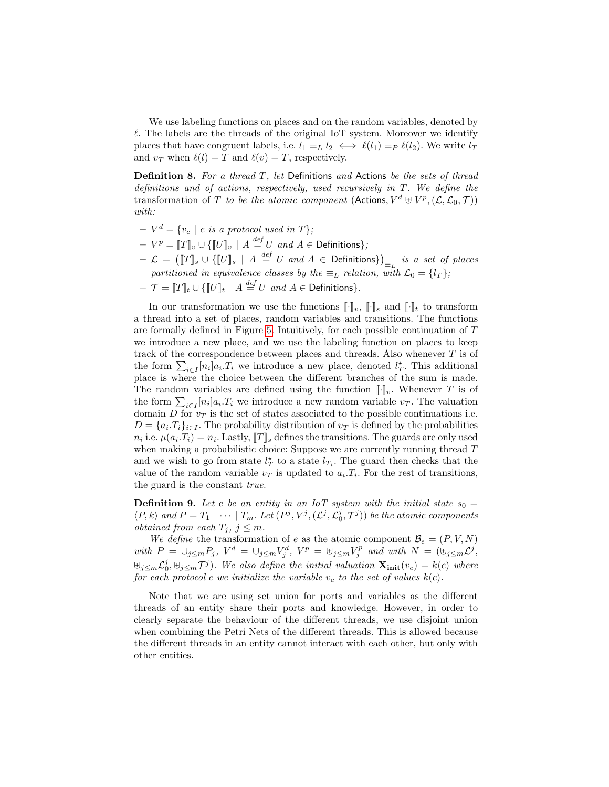We use labeling functions on places and on the random variables, denoted by  $\ell$ . The labels are the threads of the original IoT system. Moreover we identify places that have congruent labels, i.e.  $l_1 \equiv_L l_2 \iff \ell(l_1) \equiv_P \ell(l_2)$ . We write  $l_T$ and  $v_T$  when  $\ell(l) = T$  and  $\ell(v) = T$ , respectively.

<span id="page-11-0"></span>**Definition 8.** For a thread  $T$ , let Definitions and Actions be the sets of thread definitions and of actions, respectively, used recursively in T. We define the transformation of T to be the atomic component (Actions,  $V^d \oplus V^p$ ,  $(\mathcal{L}, \mathcal{L}_0, \mathcal{T})$ ) with:

- $-V^d = \{v_c \mid c \text{ is a protocol used in } T\};$
- $-\,\,V^{p}=\llbracket T \rrbracket_v\cup \{\llbracket U \rrbracket_v\mid A\stackrel{def}{=}U\,\, and\,\,A\in\mathsf{Definitions}\};$
- $\mathcal{L}$   $=$   $\left(\llbracket T \rrbracket_s \cup \{\llbracket U \rrbracket_s \mid A \stackrel{def}{=} U \text{ and } A \in \text{Definitions}\} \right)_{\equiv_L}$  is a set of places partitioned in equivalence classes by the  $\equiv_L$  relation, with  $\mathcal{L}_0 = \{l_T\}$ ;  $\mathcal{T} = [\![T]\!]_t \cup \{[\![U]\!]_t \,\, | \,\, A \stackrel{def}{=} U \,\, \textit{and} \,\, A \in \mathsf{Definitions}\}.$

In our transformation we use the functions  $[\cdot]_v$ ,  $[\cdot]_s$  and  $[\cdot]_t$  to transform a thread into a set of places, random variables and transitions. The functions are formally defined in Figure [5.](#page-12-0) Intuitively, for each possible continuation of T we introduce a new place, and we use the labeling function on places to keep track of the correspondence between places and threads. Also whenever  $T$  is of the form  $\sum_{i\in I} [n_i] a_i \cdot T_i$  we introduce a new place, denoted  $l_T^*$ . This additional place is where the choice between the different branches of the sum is made. The random variables are defined using the function  $[\![\cdot]\!]_v$ . Whenever T is of the form  $\sum_{i\in I} [n_i] a_i T_i$  we introduce a new random variable  $v_T$ . The valuation domain D for  $v_T$  is the set of states associated to the possible continuations i.e.  $D = \{a_i, T_i\}_{i \in I}$ . The probability distribution of  $v_T$  is defined by the probabilities  $n_i$  i.e.  $\mu(a_i.T_i) = n_i$ . Lastly,  $\llbracket T \rrbracket_s$  defines the transitions. The guards are only used when making a probabilistic choice: Suppose we are currently running thread T and we wish to go from state  $l_T^*$  to a state  $l_{T_i}$ . The guard then checks that the value of the random variable  $v_T$  is updated to  $a_i.T_i$ . For the rest of transitions, the guard is the constant *true*.

<span id="page-11-1"></span>**Definition 9.** Let e be an entity in an IoT system with the initial state  $s_0 =$  $\langle P, k \rangle$  and  $P = T_1 \mid \cdots \mid T_m$ . Let  $(P^j, V^j, (\mathcal{L}^j, \mathcal{L}^j_0, \mathcal{T}^j))$  be the atomic components *obtained from each*  $T_j$ ,  $j \leq m$ .

We define the transformation of e as the atomic component  $\mathcal{B}_e = (P, V, N)$ with  $P = \bigcup_{j \leq m} P_j$ ,  $V^d = \bigcup_{j \leq m} V_j^d$ ,  $V^p = \bigcup_{j \leq m} V_j^p$  and with  $N = (\bigcup_{j \leq m} \mathcal{L}^j)$ ,  $\bigcup_{j\leq m}\mathcal{L}_0^j, \bigcup_{j\leq m}\mathcal{T}^j$ ). We also define the initial valuation  $\mathbf{X_{init}}(v_c) = k(c)$  where for each protocol c we initialize the variable  $v_c$  to the set of values  $k(c)$ .

Note that we are using set union for ports and variables as the different threads of an entity share their ports and knowledge. However, in order to clearly separate the behaviour of the different threads, we use disjoint union when combining the Petri Nets of the different threads. This is allowed because the different threads in an entity cannot interact with each other, but only with other entities.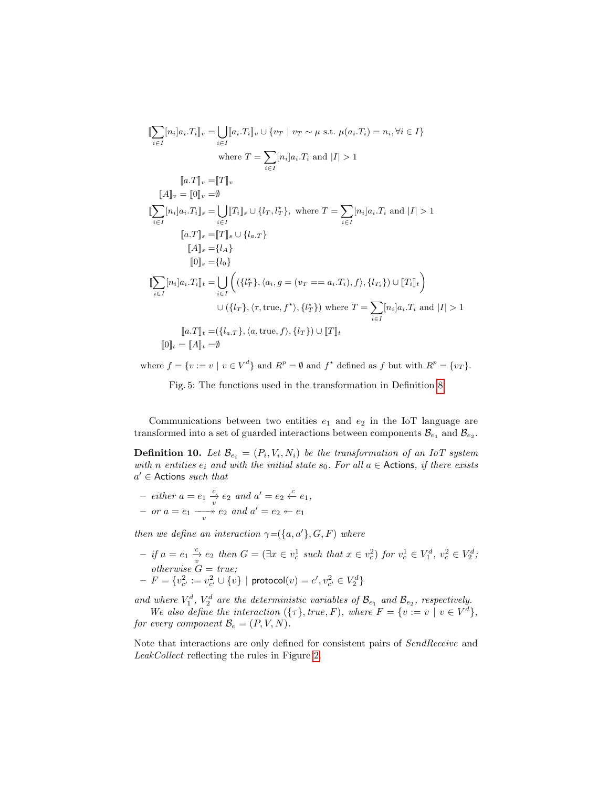<span id="page-12-0"></span>
$$
\begin{aligned}\n\llbracket \sum_{i \in I} [n_i] a_i. T_i \rrbracket_v &= \bigcup_{i \in I} [a_i. T_i]_v \cup \{ v_T \mid v_T \sim \mu \text{ s.t. } \mu(a_i. T_i) = n_i, \forall i \in I \} \\
&\text{where } T = \sum_{i \in I} [n_i] a_i. T_i \text{ and } |I| > 1 \\
&\llbracket a. T \rrbracket_v = \llbracket T \rrbracket_v \\
&\llbracket a \rrbracket_v = \llbracket 0 \rrbracket_v = \emptyset \\
&\llbracket \sum_{i \in I} [n_i] a_i. T_i \rrbracket_s = \bigcup_{i \in I} [T_i]_s \cup \{ l_T, l_T^* \}, \text{ where } T = \sum_{i \in I} [n_i] a_i. T_i \text{ and } |I| > 1 \\
&\llbracket a. T \rrbracket_s = \llbracket T \rrbracket_s \cup \{ l_a. T \} \\
&\llbracket A \rrbracket_s = \{ l_A \} \\
&\llbracket 0 \rrbracket_s = \{ l_0 \} \\
&\llbracket \sum_{i \in I} [n_i] a_i. T_i \rrbracket_t = \bigcup_{i \in I} \left( (\{ l_T^* \}, \langle a_i, g = (v_T == a_i. T_i), f \rangle, \{ l_{T_i} \} \rangle \cup \llbracket T_i \rrbracket_t \right) \\
&\cup (\{ l_T \}, \langle \tau, \text{true}, f^* \rangle, \{ l_T^* \}) \text{ where } T = \sum_{i \in I} [n_i] a_i. T_i \text{ and } |I| > 1 \\
&\llbracket a. T \rrbracket_t = (\{ l_a. T \}, \langle a, \text{true}, f \rangle, \{ l_{T} \}) \cup \llbracket T \rrbracket_t \\
&\llbracket 0 \rrbracket_t = \llbracket A \rrbracket_t = \emptyset\n\end{aligned}
$$

where  $f = \{v := v \mid v \in V^d\}$  and  $R^p = \emptyset$  and  $f^*$  defined as f but with  $R^p = \{v_T\}.$ 

Fig. 5: The functions used in the transformation in Definition [8](#page-11-0)

Communications between two entities  $e_1$  and  $e_2$  in the IoT language are transformed into a set of guarded interactions between components  $\mathcal{B}_{e_1}$  and  $\mathcal{B}_{e_2}$ .

<span id="page-12-1"></span>**Definition 10.** Let  $\mathcal{B}_{e_i} = (P_i, V_i, N_i)$  be the transformation of an IoT system with n entities  $e_i$  and with the initial state  $s_0$ . For all  $a \in$  Actions, if there exists  $a' \in$  Actions such that

- either  $a = e_1 \frac{c}{v} e_2$  and  $a' = e_2 \stackrel{c}{\leftarrow} e_1$ ,  $-$  or  $a = e_1 \longrightarrow e_2$  and  $a' = e_2 \leftarrow e_1$ 

then we define an interaction  $\gamma = (\{a, a'\}, G, F)$  where

 $-$  if  $a = e_1 \frac{c}{v} e_2$  then  $G = (\exists x \in v_c^1 \text{ such that } x \in v_c^2)$  for  $v_c^1 \in V_1^d$ ,  $v_c^2 \in V_2^d$ ;  $otherwise G = true;$  $-F = \{v_{c'}^2 := v_{c'}^2 \cup \{v\} \mid \text{protocol}(v) = c', v_{c'}^2 \in V_2^d\}$ 

and where  $V_1^d$ ,  $V_2^d$  are the deterministic variables of  $\mathcal{B}_{e_1}$  and  $\mathcal{B}_{e_2}$ , respectively.

We also define the interaction  $({\tau}, true, F)$ , where  $F = \{v := v \mid v \in V^d\},\$ for every component  $\mathcal{B}_e = (P, V, N)$ .

Note that interactions are only defined for consistent pairs of SendReceive and LeakCollect reflecting the rules in Figure [2.](#page-4-0)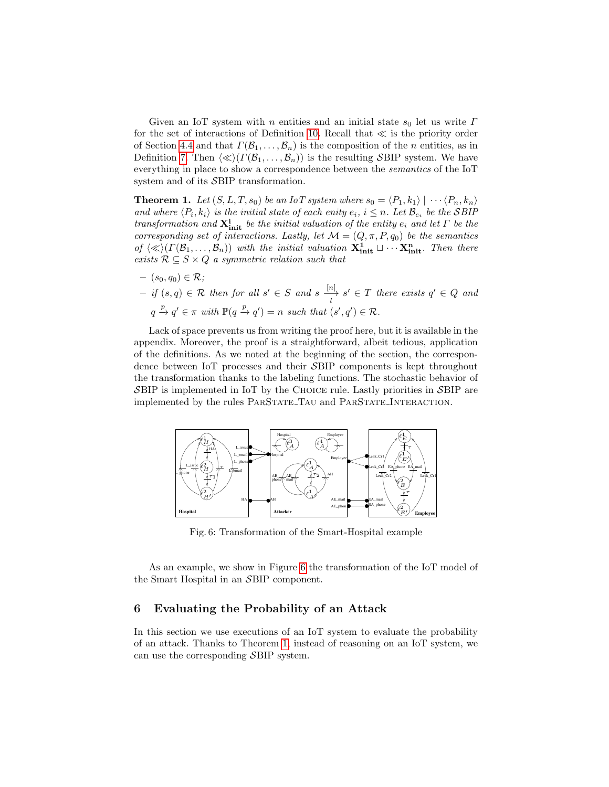Given an IoT system with n entities and an initial state  $s_0$  let us write  $\Gamma$ for the set of interactions of Definition [10.](#page-12-1) Recall that  $\ll$  is the priority order of Section [4.4](#page-10-1) and that  $\Gamma(\mathcal{B}_1,\ldots,\mathcal{B}_n)$  is the composition of the *n* entities, as in Definition [7.](#page-10-2) Then  $\langle \ll \rangle(\Gamma(\mathcal{B}_1, \ldots, \mathcal{B}_n))$  is the resulting SBIP system. We have everything in place to show a correspondence between the semantics of the IoT system and of its SBIP transformation.

<span id="page-13-2"></span>**Theorem 1.** Let  $(S, L, T, s_0)$  be an IoT system where  $s_0 = \langle P_1, k_1 \rangle \mid \cdots \langle P_n, k_n \rangle$ and where  $\langle P_i, k_i \rangle$  is the initial state of each enity  $e_i$ ,  $i \leq n$ . Let  $\mathcal{B}_{e_i}$  be the SBIP transformation and  $\mathbf{X_{init}^{i}}$  be the initial valuation of the entity  $e_i$  and let  $\Gamma$  be the corresponding set of interactions. Lastly, let  $\mathcal{M} = (Q, \pi, P, q_0)$  be the semantics of  $\langle \ll \rangle(\Gamma(\mathcal{B}_1, \ldots, \mathcal{B}_n))$  with the initial valuation  $\mathbf{X}_{\text{init}}^1 \sqcup \cdots \mathbf{X}_{\text{init}}^n$ . Then there exists  $\mathcal{R} \subseteq S \times Q$  a symmetric relation such that

 $(s_0, q_0) \in \mathcal{R}$ ;  $-$  if  $(s, q) \in \mathcal{R}$  then for all  $s' \in S$  and  $s \xrightarrow[\lceil s' \rceil]{n} s' \in T$  there exists  $q' \in Q$  and  $q \stackrel{p}{\to} q' \in \pi$  with  $\mathbb{P}(q \stackrel{p}{\to} q') = n$  such that  $(s', q') \in \mathcal{R}$ .

Lack of space prevents us from writing the proof here, but it is available in the appendix. Moreover, the proof is a straightforward, albeit tedious, application of the definitions. As we noted at the beginning of the section, the correspondence between IoT processes and their SBIP components is kept throughout the transformation thanks to the labeling functions. The stochastic behavior of  $\mathcal{S}$ BIP is implemented in IoT by the CHOICE rule. Lastly priorities in  $\mathcal{S}$ BIP are implemented by the rules PARSTATE\_TAU and PARSTATE\_INTERACTION.

<span id="page-13-1"></span>

Fig. 6: Transformation of the Smart-Hospital example

As an example, we show in Figure [6](#page-13-1) the transformation of the IoT model of the Smart Hospital in an SBIP component.

## <span id="page-13-0"></span>6 Evaluating the Probability of an Attack

In this section we use executions of an IoT system to evaluate the probability of an attack. Thanks to Theorem [1,](#page-13-2) instead of reasoning on an IoT system, we can use the corresponding SBIP system.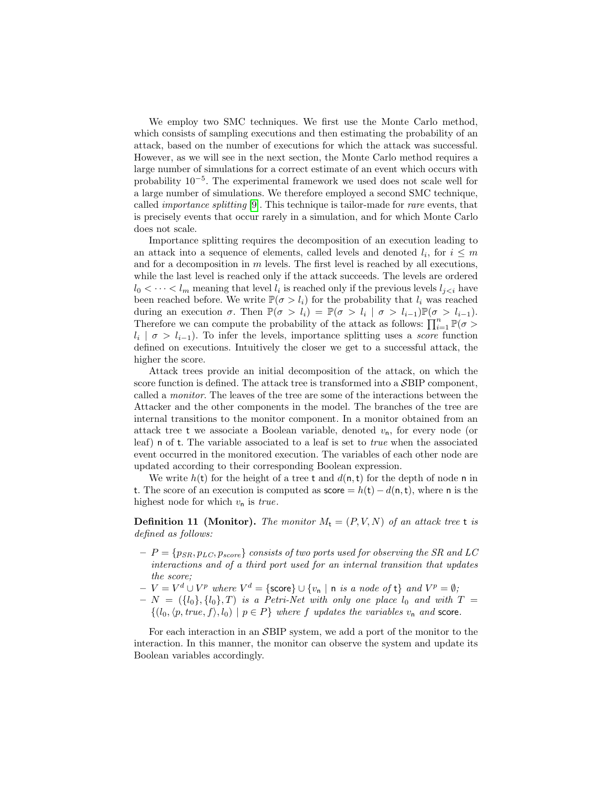We employ two SMC techniques. We first use the Monte Carlo method, which consists of sampling executions and then estimating the probability of an attack, based on the number of executions for which the attack was successful. However, as we will see in the next section, the Monte Carlo method requires a large number of simulations for a correct estimate of an event which occurs with probability 10−<sup>5</sup> . The experimental framework we used does not scale well for a large number of simulations. We therefore employed a second SMC technique, called importance splitting [\[9\]](#page-18-2). This technique is tailor-made for rare events, that is precisely events that occur rarely in a simulation, and for which Monte Carlo does not scale.

Importance splitting requires the decomposition of an execution leading to an attack into a sequence of elements, called levels and denoted  $l_i$ , for  $i \leq m$ and for a decomposition in  $m$  levels. The first level is reached by all executions, while the last level is reached only if the attack succeeds. The levels are ordered  $l_0 < \cdots < l_m$  meaning that level  $l_i$  is reached only if the previous levels  $l_{j have$ been reached before. We write  $\mathbb{P}(\sigma > l_i)$  for the probability that  $l_i$  was reached during an execution  $\sigma$ . Then  $\mathbb{P}(\sigma > l_i) = \mathbb{P}(\sigma > l_i \mid \sigma > l_{i-1})\mathbb{P}(\sigma > l_{i-1}).$ Therefore we can compute the probability of the attack as follows:  $\prod_{i=1}^{n} \mathbb{P}(\sigma >$  $l_i \mid \sigma > l_{i-1}$ ). To infer the levels, importance splitting uses a score function defined on executions. Intuitively the closer we get to a successful attack, the higher the score.

Attack trees provide an initial decomposition of the attack, on which the score function is defined. The attack tree is transformed into a SBIP component, called a monitor. The leaves of the tree are some of the interactions between the Attacker and the other components in the model. The branches of the tree are internal transitions to the monitor component. In a monitor obtained from an attack tree t we associate a Boolean variable, denoted  $v_n$ , for every node (or leaf) n of t. The variable associated to a leaf is set to true when the associated event occurred in the monitored execution. The variables of each other node are updated according to their corresponding Boolean expression.

We write  $h(t)$  for the height of a tree t and  $d(n, t)$  for the depth of node n in t. The score of an execution is computed as score =  $h(t) - d(n, t)$ , where n is the highest node for which  $v_n$  is *true*.

**Definition 11 (Monitor).** The monitor  $M_t = (P, V, N)$  of an attack tree t is defined as follows:

- $-P = \{p_{SR}, p_{LC}, p_{score}\}$  consists of two ports used for observing the SR and LC interactions and of a third port used for an internal transition that updates the score;
- $-V = V^d \cup V^p$  where  $V^d = \{\text{score}\} \cup \{v_n \mid n \text{ is a node of } t\}$  and  $V^p = \emptyset$ ;
- $N = (\{l_0\}, \{l_0\}, T)$  is a Petri-Net with only one place  $l_0$  and with  $T =$  $\{(l_0, \langle p, true, f \rangle, l_0) \mid p \in P\}$  where f updates the variables  $v_n$  and score.

For each interaction in an SBIP system, we add a port of the monitor to the interaction. In this manner, the monitor can observe the system and update its Boolean variables accordingly.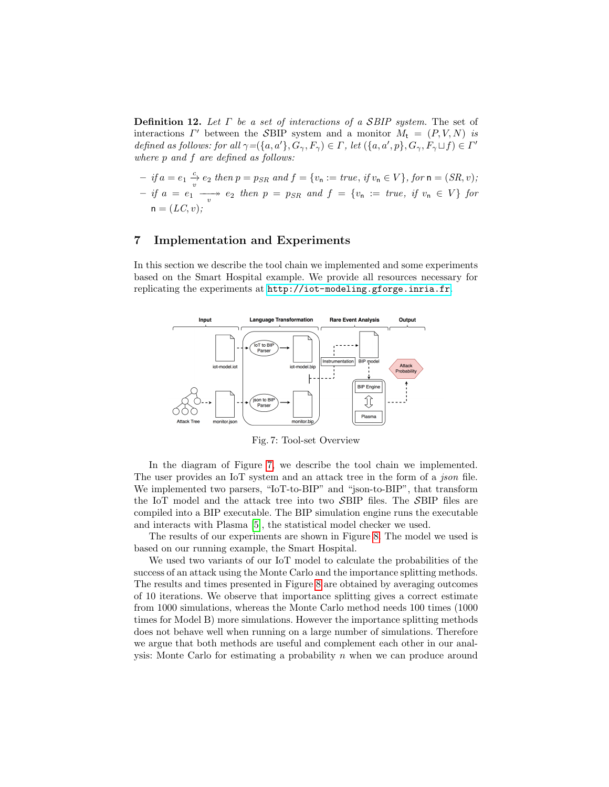**Definition 12.** Let  $\Gamma$  be a set of interactions of a SBIP system. The set of interactions  $\Gamma'$  between the SBIP system and a monitor  $M_t = (P, V, N)$  is defined as follows: for all  $\gamma = (\{a, a'\}, G_\gamma, F_\gamma) \in \Gamma$ , let  $(\{a, a', p\}, G_\gamma, F_\gamma \sqcup f) \in \Gamma'$ where  $p$  and  $f$  are defined as follows:

- if 
$$
a = e_1 \frac{c}{v} e_2
$$
 then  $p = p_{SR}$  and  $f = \{v_n := true, if v_n \in V\}$ , for  $n = (SR, v)$ ;  
\n- if  $a = e_1 \longrightarrow e_2$  then  $p = p_{SR}$  and  $f = \{v_n := true, if v_n \in V\}$  for  
\n $n = (LC, v)$ ;

## <span id="page-15-0"></span>7 Implementation and Experiments

In this section we describe the tool chain we implemented and some experiments based on the Smart Hospital example. We provide all resources necessary for replicating the experiments at <http://iot-modeling.gforge.inria.fr>.

<span id="page-15-1"></span>

Fig. 7: Tool-set Overview

In the diagram of Figure [7,](#page-15-1) we describe the tool chain we implemented. The user provides an IoT system and an attack tree in the form of a json file. We implemented two parsers, "IoT-to-BIP" and "json-to-BIP", that transform the IoT model and the attack tree into two SBIP files. The SBIP files are compiled into a BIP executable. The BIP simulation engine runs the executable and interacts with Plasma [\[5\]](#page-17-2), the statistical model checker we used.

The results of our experiments are shown in Figure [8.](#page-16-1) The model we used is based on our running example, the Smart Hospital.

We used two variants of our IoT model to calculate the probabilities of the success of an attack using the Monte Carlo and the importance splitting methods. The results and times presented in Figure [8](#page-16-1) are obtained by averaging outcomes of 10 iterations. We observe that importance splitting gives a correct estimate from 1000 simulations, whereas the Monte Carlo method needs 100 times (1000 times for Model B) more simulations. However the importance splitting methods does not behave well when running on a large number of simulations. Therefore we argue that both methods are useful and complement each other in our analysis: Monte Carlo for estimating a probability  $n$  when we can produce around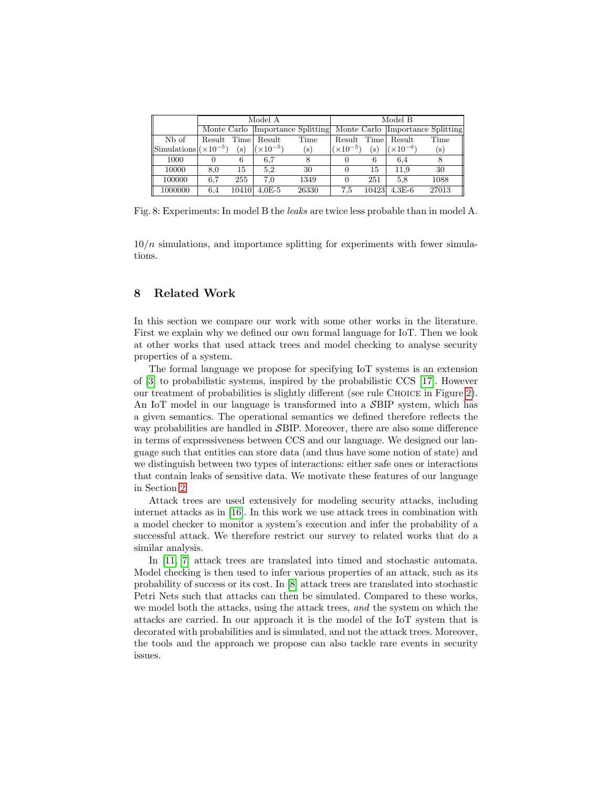<span id="page-16-1"></span>

|                                      | Model A |       |                                  | Model B |                    |       |                                  |       |
|--------------------------------------|---------|-------|----------------------------------|---------|--------------------|-------|----------------------------------|-------|
|                                      |         |       | Monte Carlo Importance Splitting |         |                    |       | Monte Carlo Importance Splitting |       |
| Nb of                                |         |       | Result Time Result               | Time    |                    |       | Result Time Result               | Time  |
| $\text{Simulations}(\times 10^{-5})$ |         | (s)   | $(x10^{-5})$                     | (s)     | $(\times 10^{-5})$ | (s)   | $(\times 10^{-6})$               | (s)   |
| 1000                                 |         | 6     | 6.7                              |         |                    | 6     | 6.4                              |       |
| 10000                                | 8.0     | 15    | 5.2                              | 30      |                    | 15    | 11.9                             | 30    |
| 100000                               | 6.7     | 255   | 7.0                              | 1349    |                    | 251   | 5.8                              | 1088  |
| 1000000                              | 6.4     | 10410 | $4.0E-5$                         | 26330   | 7.5                | 10423 | $4.3E-6$                         | 27013 |

Fig. 8: Experiments: In model B the leaks are twice less probable than in model A.

 $10/n$  simulations, and importance splitting for experiments with fewer simulations.

## <span id="page-16-0"></span>8 Related Work

In this section we compare our work with some other works in the literature. First we explain why we defined our own formal language for IoT. Then we look at other works that used attack trees and model checking to analyse security properties of a system.

The formal language we propose for specifying IoT systems is an extension of [\[3\]](#page-17-6) to probabilistic systems, inspired by the probabilistic CCS [\[17\]](#page-18-4). However our treatment of probabilities is slightly different (see rule Choice in Figure [2\)](#page-4-0). An IoT model in our language is transformed into a SBIP system, which has a given semantics. The operational semantics we defined therefore reflects the way probabilities are handled in SBIP. Moreover, there are also some difference in terms of expressiveness between CCS and our language. We designed our language such that entities can store data (and thus have some notion of state) and we distinguish between two types of interactions: either safe ones or interactions that contain leaks of sensitive data. We motivate these features of our language in Section [2.](#page-2-0)

Attack trees are used extensively for modeling security attacks, including internet attacks as in [\[16\]](#page-18-5). In this work we use attack trees in combination with a model checker to monitor a system's execution and infer the probability of a successful attack. We therefore restrict our survey to related works that do a similar analysis.

In [\[11,](#page-18-6) [7\]](#page-18-7) attack trees are translated into timed and stochastic automata. Model checking is then used to infer various properties of an attack, such as its probability of success or its cost. In [\[8\]](#page-18-8) attack trees are translated into stochastic Petri Nets such that attacks can then be simulated. Compared to these works, we model both the attacks, using the attack trees, and the system on which the attacks are carried. In our approach it is the model of the IoT system that is decorated with probabilities and is simulated, and not the attack trees. Moreover, the tools and the approach we propose can also tackle rare events in security issues.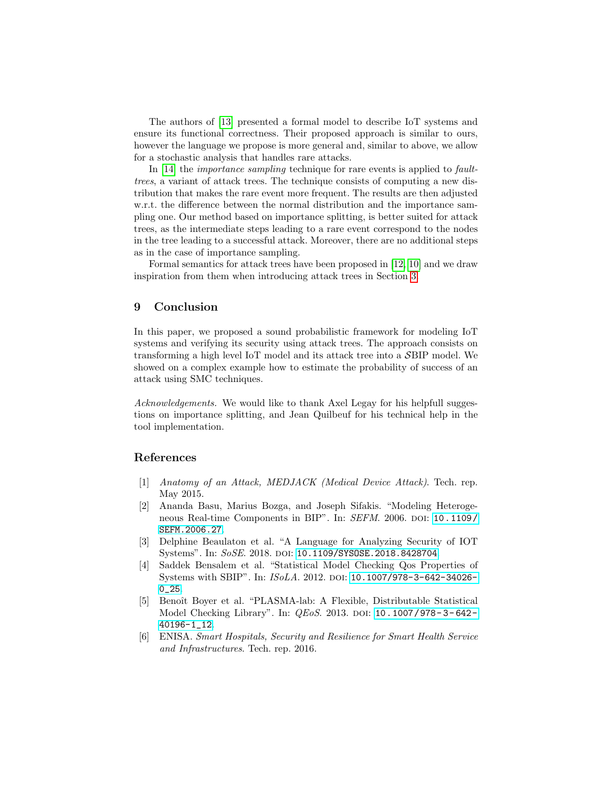The authors of [\[13\]](#page-18-9) presented a formal model to describe IoT systems and ensure its functional correctness. Their proposed approach is similar to ours, however the language we propose is more general and, similar to above, we allow for a stochastic analysis that handles rare attacks.

In [\[14\]](#page-18-10) the *importance sampling* technique for rare events is applied to *fault*trees, a variant of attack trees. The technique consists of computing a new distribution that makes the rare event more frequent. The results are then adjusted w.r.t. the difference between the normal distribution and the importance sampling one. Our method based on importance splitting, is better suited for attack trees, as the intermediate steps leading to a rare event correspond to the nodes in the tree leading to a successful attack. Moreover, there are no additional steps as in the case of importance sampling.

Formal semantics for attack trees have been proposed in [\[12,](#page-18-0) [10\]](#page-18-3) and we draw inspiration from them when introducing attack trees in Section [3.](#page-6-0)

## <span id="page-17-5"></span>9 Conclusion

In this paper, we proposed a sound probabilistic framework for modeling IoT systems and verifying its security using attack trees. The approach consists on transforming a high level IoT model and its attack tree into a SBIP model. We showed on a complex example how to estimate the probability of success of an attack using SMC techniques.

Acknowledgements. We would like to thank Axel Legay for his helpfull suggestions on importance splitting, and Jean Quilbeuf for his technical help in the tool implementation.

## References

- <span id="page-17-3"></span>[1] Anatomy of an Attack, MEDJACK (Medical Device Attack). Tech. rep. May 2015.
- <span id="page-17-0"></span>[2] Ananda Basu, Marius Bozga, and Joseph Sifakis. "Modeling Heteroge-neous Real-time Components in BIP". In: SEFM. 2006. DOI: [10.1109/](https://doi.org/10.1109/SEFM.2006.27) [SEFM.2006.27](https://doi.org/10.1109/SEFM.2006.27).
- <span id="page-17-6"></span>[3] Delphine Beaulaton et al. "A Language for Analyzing Security of IOT Systems". In: SoSE. 2018. DOI: 10.1109/SYSOSE. 2018.8428704.
- <span id="page-17-1"></span>[4] Saddek Bensalem et al. "Statistical Model Checking Qos Properties of Systems with SBIP". In: ISoLA. 2012. DOI: [10.1007/978-3-642-34026-](https://doi.org/10.1007/978-3-642-34026-0_25) [0\\_25](https://doi.org/10.1007/978-3-642-34026-0_25).
- <span id="page-17-2"></span>[5] Benoît Boyer et al. "PLASMA-lab: A Flexible, Distributable Statistical Model Checking Library". In: *QEoS.* 2013. DOI: 10.1007/978-3-642-[40196-1\\_12](https://doi.org/10.1007/978-3-642-40196-1_12).
- <span id="page-17-4"></span>[6] ENISA. Smart Hospitals, Security and Resilience for Smart Health Service and Infrastructures. Tech. rep. 2016.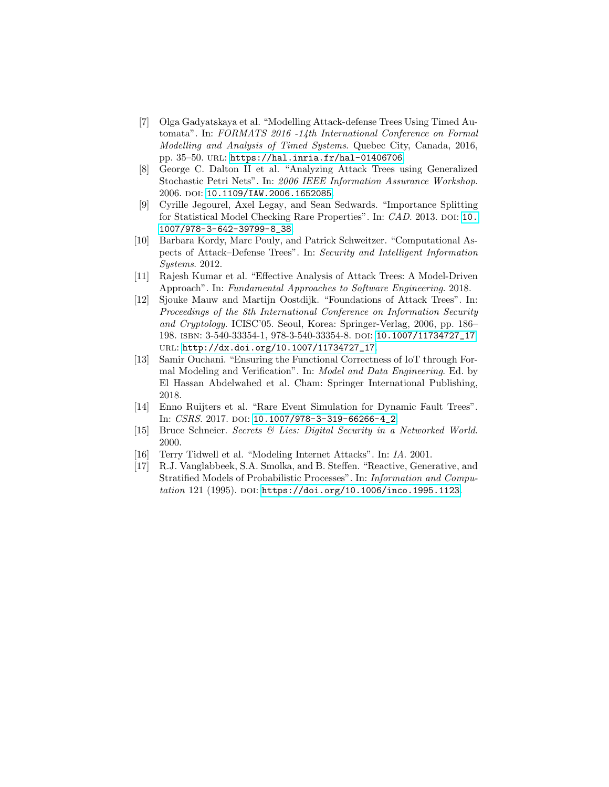- <span id="page-18-7"></span>[7] Olga Gadyatskaya et al. "Modelling Attack-defense Trees Using Timed Automata". In: FORMATS 2016 -14th International Conference on Formal Modelling and Analysis of Timed Systems. Quebec City, Canada, 2016, pp. 35–50. url: <https://hal.inria.fr/hal-01406706>.
- <span id="page-18-8"></span>[8] George C. Dalton II et al. "Analyzing Attack Trees using Generalized Stochastic Petri Nets". In: 2006 IEEE Information Assurance Workshop. 2006. doi: [10.1109/IAW.2006.1652085](https://doi.org/10.1109/IAW.2006.1652085).
- <span id="page-18-2"></span>[9] Cyrille Jegourel, Axel Legay, and Sean Sedwards. "Importance Splitting for Statistical Model Checking Rare Properties". In: CAD. 2013. DOI: [10.](https://doi.org/10.1007/978-3-642-39799-8_38) [1007/978-3-642-39799-8\\_38](https://doi.org/10.1007/978-3-642-39799-8_38).
- <span id="page-18-3"></span>[10] Barbara Kordy, Marc Pouly, and Patrick Schweitzer. "Computational Aspects of Attack–Defense Trees". In: Security and Intelligent Information Systems. 2012.
- <span id="page-18-6"></span>[11] Rajesh Kumar et al. "Effective Analysis of Attack Trees: A Model-Driven Approach". In: Fundamental Approaches to Software Engineering. 2018.
- <span id="page-18-0"></span>[12] Sjouke Mauw and Martijn Oostdijk. "Foundations of Attack Trees". In: Proceedings of the 8th International Conference on Information Security and Cryptology. ICISC'05. Seoul, Korea: Springer-Verlag, 2006, pp. 186– 198. isbn: 3-540-33354-1, 978-3-540-33354-8. doi: [10.1007/11734727\\_17](https://doi.org/10.1007/11734727_17). url: [http://dx.doi.org/10.1007/11734727\\_17](http://dx.doi.org/10.1007/11734727_17).
- <span id="page-18-9"></span>[13] Samir Ouchani. "Ensuring the Functional Correctness of IoT through Formal Modeling and Verification". In: Model and Data Engineering. Ed. by El Hassan Abdelwahed et al. Cham: Springer International Publishing, 2018.
- <span id="page-18-10"></span>[14] Enno Ruijters et al. "Rare Event Simulation for Dynamic Fault Trees". In: CSRS. 2017. doi: [10.1007/978-3-319-66266-4\\_2](https://doi.org/10.1007/978-3-319-66266-4_2).
- <span id="page-18-1"></span>[15] Bruce Schneier. Secrets & Lies: Digital Security in a Networked World. 2000.
- <span id="page-18-5"></span>[16] Terry Tidwell et al. "Modeling Internet Attacks". In: IA. 2001.
- <span id="page-18-4"></span>[17] R.J. Vanglabbeek, S.A. Smolka, and B. Steffen. "Reactive, Generative, and Stratified Models of Probabilistic Processes". In: Information and Compu $tation$  121 (1995). DOI: [https://doi.org/10.1006/inco.1995.1123](https://doi.org/https://doi.org/10.1006/inco.1995.1123).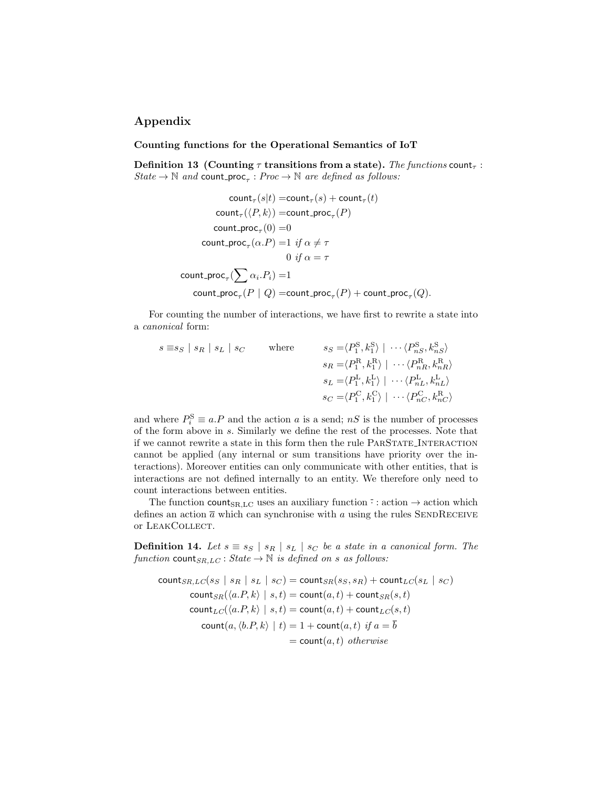## Appendix

### Counting functions for the Operational Semantics of IoT

Definition 13 (Counting  $\tau$  transitions from a state). The functions count<sub> $\tau$ </sub>:  $State \rightarrow \mathbb{N}$  and count  $proc_{\tau}: Proc \rightarrow \mathbb{N}$  are defined as follows:

$$
\operatorname{count}_{\tau}(s|t) = \operatorname{count}_{\tau}(s) + \operatorname{count}_{\tau}(t)
$$
\n
$$
\operatorname{count}_{\tau}(\langle P, k \rangle) = \operatorname{count\_proc}_{\tau}(P)
$$
\n
$$
\operatorname{count\_proc}_{\tau}(0) = 0
$$
\n
$$
\operatorname{count\_proc}_{\tau}(\alpha.P) = 1 \text{ if } \alpha \neq \tau
$$
\n
$$
0 \text{ if } \alpha = \tau
$$
\n
$$
\operatorname{count\_proc}_{\tau}(\sum \alpha_i.P_i) = 1
$$
\n
$$
\operatorname{count\_proc}_{\tau}(P \mid Q) = \operatorname{count\_proc}_{\tau}(P) + \operatorname{count\_proc}_{\tau}(Q).
$$

For counting the number of interactions, we have first to rewrite a state into a canonical form:

$$
s \equiv s_S \mid s_R \mid s_L \mid s_C \qquad \text{where} \qquad s_S = \langle P_1^{\rm S}, k_1^{\rm S} \rangle \mid \cdots \langle P_{nS}^{\rm S}, k_{nS}^{\rm S} \rangle
$$

$$
s_R = \langle P_1^{\rm R}, k_1^{\rm R} \rangle \mid \cdots \langle P_{nR}^{\rm R}, k_{nR}^{\rm R} \rangle
$$

$$
s_L = \langle P_1^{\rm L}, k_1^{\rm L} \rangle \mid \cdots \langle P_{nL}^{\rm L}, k_{nL}^{\rm L} \rangle
$$

$$
s_C = \langle P_1^{\rm C}, k_1^{\rm C} \rangle \mid \cdots \langle P_{nC}^{\rm C}, k_{nC}^{\rm R} \rangle
$$

and where  $P_i^{\rm S} \equiv a.P$  and the action a is a send;  $nS$  is the number of processes of the form above in s. Similarly we define the rest of the processes. Note that if we cannot rewrite a state in this form then the rule ParState Interaction cannot be applied (any internal or sum transitions have priority over the interactions). Moreover entities can only communicate with other entities, that is interactions are not defined internally to an entity. We therefore only need to count interactions between entities.

The function count $_{\text{SRLC}}$  uses an auxiliary function  $\overline{\cdot}$ : action  $\rightarrow$  action which defines an action  $\bar{a}$  which can synchronise with a using the rules SENDRECEIVE or LEAKCOLLECT.

**Definition 14.** Let  $s \equiv s_S | s_R | s_L | s_C$  be a state in a canonical form. The function count $_{SR, LC}$ : State  $\rightarrow \mathbb{N}$  is defined on s as follows:

$$
\begin{aligned}\n\text{count}_{SR, LC}(s_S \mid s_R \mid s_L \mid s_C) &= \text{count}_{SR}(s_S, s_R) + \text{count}_{LC}(s_L \mid s_C) \\
&\text{count}_{SR}(\langle a.P, k \rangle \mid s, t) = \text{count}(a, t) + \text{count}_{SR}(s, t) \\
&\text{count}_{LC}(\langle a.P, k \rangle \mid s, t) = \text{count}(a, t) + \text{count}_{LC}(s, t) \\
&\text{count}(a, \langle b.P, k \rangle \mid t) = 1 + \text{count}(a, t) \text{ if } a = \overline{b} \\
&= \text{count}(a, t) \text{ otherwise}\n\end{aligned}
$$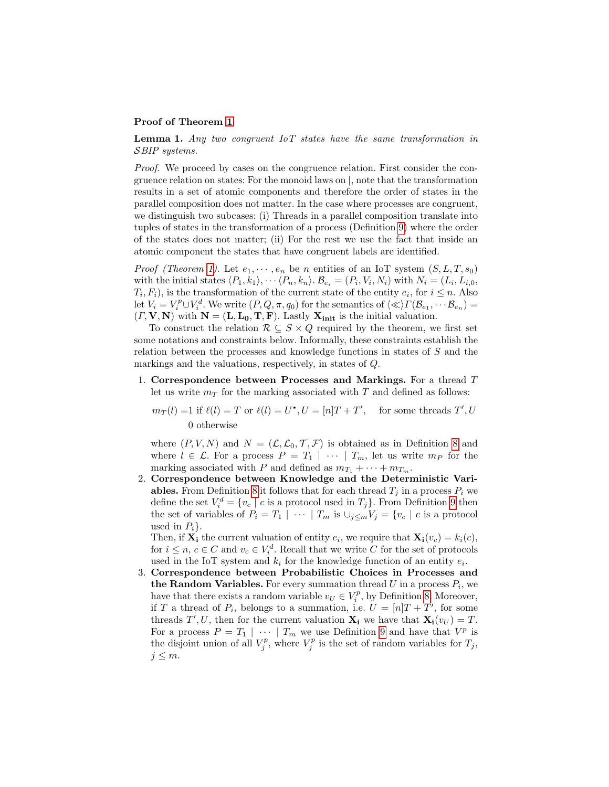#### Proof of Theorem [1](#page-13-2)

<span id="page-20-0"></span>Lemma 1. Any two congruent IoT states have the same transformation in SBIP systems.

Proof. We proceed by cases on the congruence relation. First consider the congruence relation on states: For the monoid laws on |, note that the transformation results in a set of atomic components and therefore the order of states in the parallel composition does not matter. In the case where processes are congruent, we distinguish two subcases: (i) Threads in a parallel composition translate into tuples of states in the transformation of a process (Definition [9\)](#page-11-1) where the order of the states does not matter; (ii) For the rest we use the fact that inside an atomic component the states that have congruent labels are identified.

*Proof (Theorem [1\)](#page-13-2).* Let  $e_1, \dots, e_n$  be n entities of an IoT system  $(S, L, T, s_0)$ with the initial states  $\langle P_1, k_1 \rangle, \cdots \langle P_n, k_n \rangle$ .  $\mathcal{B}_{e_i} = (P_i, V_i, N_i)$  with  $N_i = (L_i, L_{i,0},$  $(T_i, F_i)$ , is the transformation of the current state of the entity  $e_i$ , for  $i \leq n$ . Also let  $V_i = V_i^p \cup V_i^d$ . We write  $(P, Q, \pi, q_0)$  for the semantics of  $\langle \ll \rangle \Gamma(\mathcal{B}_{e_1}, \cdots \mathcal{B}_{e_n}) =$  $(\Gamma, \mathbf{V}, \mathbf{N})$  with  $\mathbf{N} = (\mathbf{L}, \mathbf{L_0}, \mathbf{T}, \mathbf{F})$ . Lastly  $\mathbf{X_{init}}$  is the initial valuation.

To construct the relation  $\mathcal{R} \subseteq S \times Q$  required by the theorem, we first set some notations and constraints below. Informally, these constraints establish the relation between the processes and knowledge functions in states of S and the markings and the valuations, respectively, in states of Q.

- 1. Correspondence between Processes and Markings. For a thread T let us write  $m<sub>T</sub>$  for the marking associated with T and defined as follows:
	- $m_T(l) = 1$  if  $\ell(l) = T$  or  $\ell(l) = U^*$ ,  $U = [n]T + T'$ , for some threads  $T'$ , U 0 otherwise

where  $(P, V, N)$  and  $N = (\mathcal{L}, \mathcal{L}_0, \mathcal{T}, \mathcal{F})$  is obtained as in Definition [8](#page-11-0) and where  $l \in \mathcal{L}$ . For a process  $P = T_1 \mid \cdots \mid T_m$ , let us write  $m_P$  for the marking associated with P and defined as  $m_{T_1} + \cdots + m_{T_m}$ .

2. Correspondence between Knowledge and the Deterministic Vari-ables. From Definition [8](#page-11-0) it follows that for each thread  $T_j$  in a process  $P_i$  we define the set  $V_i^d = \{v_c \mid c \text{ is a protocol used in } T_j\}$ . From Definition [9](#page-11-1) then the set of variables of  $P_i = T_1 \mid \cdots \mid T_m$  is  $\cup_{j \leq m} V_j = \{v_c \mid c \text{ is a protocol}\}\$ used in  $P_i$ .

Then, if  $X_i$  the current valuation of entity  $e_i$ , we require that  $X_i(v_c) = k_i(c)$ , for  $i \leq n, c \in C$  and  $v_c \in V_i^d$ . Recall that we write C for the set of protocols used in the IoT system and  $k_i$  for the knowledge function of an entity  $e_i$ .

3. Correspondence between Probabilistic Choices in Processes and the Random Variables. For every summation thread  $U$  in a process  $P_i$ , we have that there exists a random variable  $v_U \in V_i^p$ , by Definition [8.](#page-11-0) Moreover, if T a thread of  $P_i$ , belongs to a summation, i.e.  $U = [n]T + T'$ , for some threads  $T', U$ , then for the current valuation  $\mathbf{X_i}$  we have that  $\mathbf{X_i}(v_U) = T$ . For a process  $P = T_1 \mid \cdots \mid T_m$  we use Definition [9](#page-11-1) and have that  $V^p$  is the disjoint union of all  $V_j^p$ , where  $V_j^p$  is the set of random variables for  $T_j$ ,  $j \leq m$ .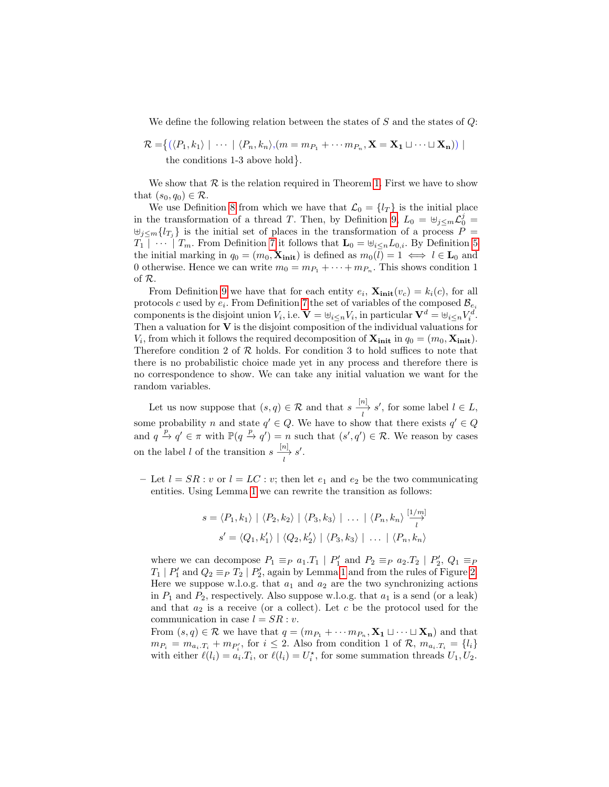We define the following relation between the states of  $S$  and the states of  $Q$ :

$$
\mathcal{R} = \{ (\langle P_1, k_1 \rangle \mid \cdots \mid \langle P_n, k_n \rangle, (m = m_{P_1} + \cdots m_{P_n}, \mathbf{X} = \mathbf{X}_1 \sqcup \cdots \sqcup \mathbf{X}_n)) \mid
$$
the conditions 1-3 above hold $\}.$ 

We show that  $\mathcal R$  is the relation required in Theorem [1.](#page-13-2) First we have to show that  $(s_0, q_0) \in \mathcal{R}$ .

We use Definition [8](#page-11-0) from which we have that  $\mathcal{L}_0 = \{l_T\}$  is the initial place in the transformation of a thread T. Then, by Definition [9,](#page-11-1)  $L_0 = \biguplus_{j \leq m} \mathcal{L}_0^j =$  $\bigcup_{j\leq m}\{l_{T_j}\}\$ is the initial set of places in the transformation of a process  $P =$  $T_1 \mid \cdots \mid T_m$ . From Definition [7](#page-10-2) it follows that  $\mathbf{L}_0 = \bigcup_{i \leq n} L_{0,i}$ . By Definition [5](#page-9-3) the initial marking in  $q_0 = (m_0, \mathbf{X_{init}})$  is defined as  $m_0(l) = 1 \iff l \in \mathbf{L}_0$  and 0 otherwise. Hence we can write  $m_0 = m_{P_1} + \cdots + m_{P_n}$ . This shows condition 1 of R.

From Definition [9](#page-11-1) we have that for each entity  $e_i$ ,  $\mathbf{X}_{init}(v_c) = k_i(c)$ , for all protocols c used by  $e_i$ . From Definition [7](#page-10-2) the set of variables of the composed  $\mathcal{B}_{e_i}$ components is the disjoint union  $V_i$ , i.e.  $\mathbf{V} = \biguplus_{i \leq n} V_i$ , in particular  $\mathbf{V}^d = \biguplus_{i \leq n} V_i^d$ . Then a valuation for  $V$  is the disjoint composition of the individual valuations for  $V_i$ , from which it follows the required decomposition of  $\mathbf{X}_{\text{init}}$  in  $q_0 = (m_0, \mathbf{X}_{\text{init}})$ . Therefore condition 2 of  $R$  holds. For condition 3 to hold suffices to note that there is no probabilistic choice made yet in any process and therefore there is no correspondence to show. We can take any initial valuation we want for the random variables.

Let us now suppose that  $(s, q) \in \mathcal{R}$  and that  $s \xrightarrow[l]{[n]} s'$ , for some label  $l \in L$ , some probability n and state  $q' \in Q$ . We have to show that there exists  $q' \in Q$ and  $q \stackrel{p}{\rightarrow} q' \in \pi$  with  $\mathbb{P}(q \stackrel{p}{\rightarrow} q') = n$  such that  $(s', q') \in \mathcal{R}$ . We reason by cases on the label *l* of the transition  $s \xrightarrow[l]{[n]} s'.$ 

– Let  $l = SR : v$  or  $l = LC : v$ ; then let  $e_1$  and  $e_2$  be the two communicating entities. Using Lemma [1](#page-20-0) we can rewrite the transition as follows:

$$
s = \langle P_1, k_1 \rangle \mid \langle P_2, k_2 \rangle \mid \langle P_3, k_3 \rangle \mid \dots \mid \langle P_n, k_n \rangle \stackrel{[1/m]}{\longrightarrow}
$$

$$
s' = \langle Q_1, k_1' \rangle \mid \langle Q_2, k_2' \rangle \mid \langle P_3, k_3 \rangle \mid \dots \mid \langle P_n, k_n \rangle
$$

where we can decompose  $P_1 \equiv_P a_1 \cdot T_1 \mid P'_1$  and  $P_2 \equiv_P a_2 \cdot T_2 \mid P'_2, Q_1 \equiv_P q_2 \cdot T_1$  $T_1 | P'_1$  and  $Q_2 \equiv_P T_2 | P'_2$ , again by Lemma [1](#page-20-0) and from the rules of Figure [2.](#page-4-0) Here we suppose w.l.o.g. that  $a_1$  and  $a_2$  are the two synchronizing actions in  $P_1$  and  $P_2$ , respectively. Also suppose w.l.o.g. that  $a_1$  is a send (or a leak) and that  $a_2$  is a receive (or a collect). Let c be the protocol used for the communication in case  $l = SR : v$ .

From  $(s, q) \in \mathcal{R}$  we have that  $q = (m_{P_1} + \cdots m_{P_n}, X_1 \sqcup \cdots \sqcup X_n)$  and that  $m_{P_i} = m_{a_i \cdot T_i} + m_{P'_i}$ , for  $i \leq 2$ . Also from condition 1 of  $\mathcal{R}, m_{a_i \cdot T_i} = \{l_i\}$ with either  $\ell(l_i) = a_i \cdot T_i$ , or  $\ell(l_i) = U_i^*$ , for some summation threads  $U_1, U_2$ .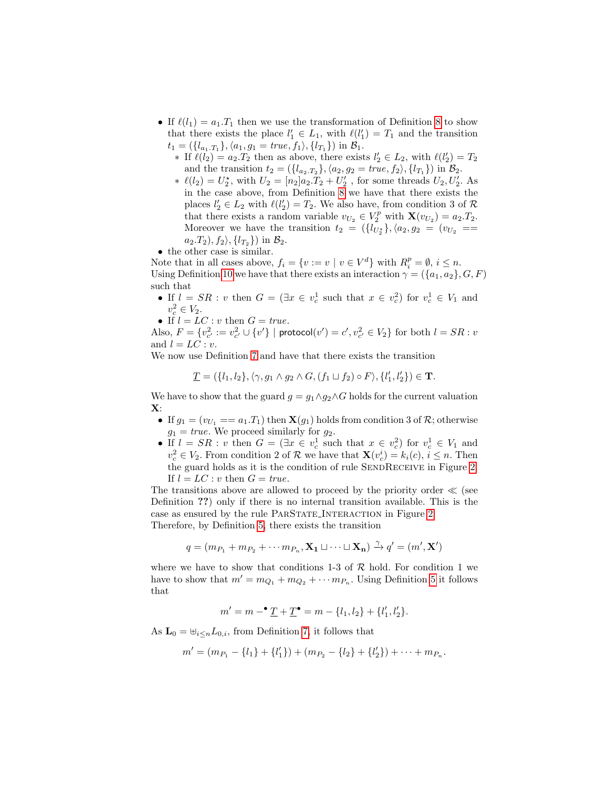- If  $\ell(l_1) = a_1 \cdot T_1$  then we use the transformation of Definition [8](#page-11-0) to show that there exists the place  $l'_1 \in L_1$ , with  $\ell(l'_1) = T_1$  and the transition  $t_1 = (\{l_{a_1,T_1}\},\langle a_1, g_1 = true, f_1\rangle, \{l_{T_1}\})$  in  $\mathcal{B}_1$ .
	- ∗ If  $\ell(l_2) = a_2.T_2$  then as above, there exists  $l'_2 \in L_2$ , with  $\ell(l'_2) = T_2$ and the transition  $t_2 = (\{l_{a_2,T_2}\}, \langle a_2, g_2 = \text{true}, f_2 \rangle, \{l_{T_1}\})$  in  $\mathcal{B}_2$ .
	- \*  $\ell(l_2) = U_2^*$ , with  $U_2 = [n_2]a_2 \cdot T_2 + U_2'$ , for some threads  $U_2, U_2'$ . As in the case above, from Definition [8](#page-11-0) we have that there exists the places  $l'_2 \in L_2$  with  $\ell(l'_2) = T_2$ . We also have, from condition 3 of  $\mathcal{R}$ that there exists a random variable  $v_{U_2} \in V_2^p$  with  $\mathbf{X}(v_{U_2}) = a_2 \cdot T_2$ . Moreover we have the transition  $t_2 = (\{l_{U_2^*}\}, \langle a_2, g_2 = (v_{U_2} =$  $a_2.T_2$ ,  $f_2$ ,  $\{l_{T_2}\}\$  in  $B_2$ .
- the other case is similar.

Note that in all cases above,  $f_i = \{v := v \mid v \in V^d\}$  with  $R_i^p = \emptyset, i \leq n$ . Using Definition [10](#page-12-1) we have that there exists an interaction  $\gamma = (\{a_1, a_2\}, G, F)$ such that

- If  $l = SR : v$  then  $G = (\exists x \in v_c^1 \text{ such that } x \in v_c^2)$  for  $v_c^1 \in V_1$  and  $v_c^2 \in V_2$ .
- If  $l = LC : v$  then  $G = true$ .

Also,  $F = \{v_{c'}^2 := v_{c'}^2 \cup \{v'\} \mid \text{protocol}(v') = c', v_{c'}^2 \in V_2\}$  for both  $l = SR : v$ and  $l = LC : v$ .

We now use Definition [7](#page-10-2) and have that there exists the transition

$$
\underline{T} = (\{l_1, l_2\}, \langle \gamma, g_1 \wedge g_2 \wedge G, (f_1 \sqcup f_2) \circ F \rangle, \{l'_1, l'_2\}) \in \mathbf{T}.
$$

We have to show that the guard  $g = g_1 \wedge g_2 \wedge G$  holds for the current valuation X:

- If  $g_1 = (v_{U_1} == a_1.T_1)$  then  $\mathbf{X}(g_1)$  holds from condition 3 of R; otherwise  $g_1 = true$ . We proceed similarly for  $g_2$ .
- If  $l = SR : v$  then  $G = (\exists x \in v_c^1 \text{ such that } x \in v_c^2)$  for  $v_c^1 \in V_1$  and  $v_c^2 \in V_2$ . From condition 2 of  $\mathcal{R}$  we have that  $\mathbf{X}(v_c^i) = k_i(c), i \leq n$ . Then the guard holds as it is the condition of rule SENDRECEIVE in Figure [2.](#page-4-0) If  $l = LC : v$  then  $G = true$ .

The transitions above are allowed to proceed by the priority order  $\ll$  (see Definition ??) only if there is no internal transition available. This is the case as ensured by the rule PARSTATE INTERACTION in Figure [2.](#page-4-0) Therefore, by Definition [5,](#page-9-3) there exists the transition

$$
q = (m_{P_1} + m_{P_2} + \cdots m_{P_n}, \mathbf{X_1} \sqcup \cdots \sqcup \mathbf{X_n}) \xrightarrow{\gamma} q' = (m', \mathbf{X}')
$$

where we have to show that conditions 1-3 of  $R$  hold. For condition 1 we have to show that  $m' = m_{Q_1} + m_{Q_2} + \cdots + m_{P_n}$ . Using Definition [5](#page-9-3) it follows that

$$
m'=m-\raisebox{.5ex}{\hspace{-0.5ex}\raisebox{.4ex}{\hspace{-0.5ex}}}\, \underline{T}+\underline{T}\raisebox{.4ex}{\hspace{-0.5ex}\raisebox{.4ex}{\hspace{-0.5ex}}}\, = m-\{l_1,l_2\}+\{l_1',l_2'\}.
$$

As  $\mathbf{L}_0 = \biguplus_{i \leq n} L_{0,i}$ , from Definition [7,](#page-10-2) it follows that

$$
m' = (m_{P_1} - \{l_1\} + \{l'_1\}) + (m_{P_2} - \{l_2\} + \{l'_2\}) + \cdots + m_{P_n}.
$$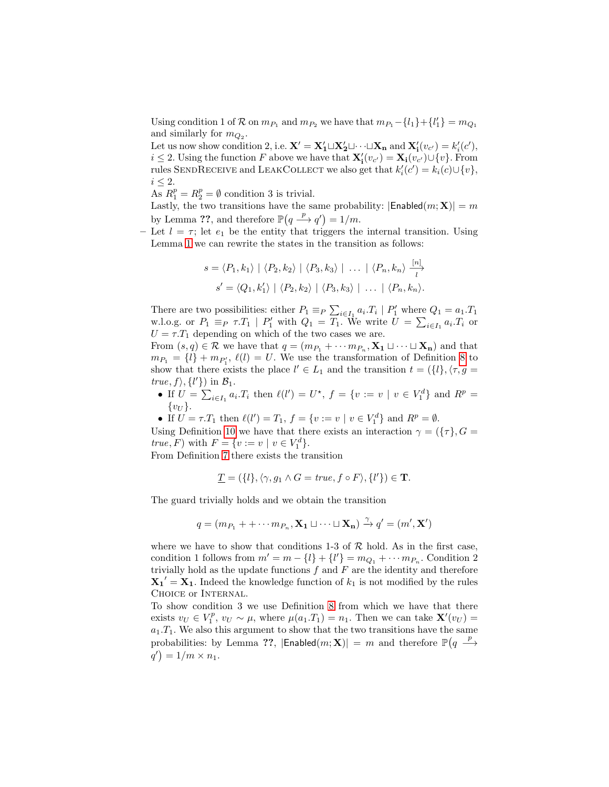Using condition 1 of  $\mathcal R$  on  $m_{P_1}$  and  $m_{P_2}$  we have that  $m_{P_1} - \{l_1\} + \{l'_1\} = m_{Q_1}$ and similarly for  $m_{Q_2}$ .

Let us now show condition 2, i.e.  $\mathbf{X}' = \mathbf{X}'_1 \sqcup \mathbf{X}'_2 \sqcup \cdots \sqcup \mathbf{X_n}$  and  $\mathbf{X}'_1(v_{c'}) = k'_i(c'),$  $i \leq 2$ . Using the function F above we have that  $\mathbf{X'_{i}}(v_{c'}) = \mathbf{X_{i}}(v_{c'}) \cup \{v\}$ . From rules SENDRECEIVE and LEAKCOLLECT we also get that  $k_i'(c') = k_i(c) \cup \{v\},$  $i \leq 2$ .

As  $R_1^p = R_2^p = \emptyset$  condition 3 is trivial.

Lastly, the two transitions have the same probability:  $|\textsf{Enabeled}(m; \mathbf{X})| = m$ by Lemma ??, and therefore  $\mathbb{P}(q \xrightarrow{p} q') = 1/m$ .

– Let  $l = \tau$ ; let  $e_1$  be the entity that triggers the internal transition. Using Lemma [1](#page-20-0) we can rewrite the states in the transition as follows:

$$
s = \langle P_1, k_1 \rangle \mid \langle P_2, k_2 \rangle \mid \langle P_3, k_3 \rangle \mid \dots \mid \langle P_n, k_n \rangle \frac{[n]}{l}
$$

$$
s' = \langle Q_1, k_1' \rangle \mid \langle P_2, k_2 \rangle \mid \langle P_3, k_3 \rangle \mid \dots \mid \langle P_n, k_n \rangle.
$$

There are two possibilities: either  $P_1 \equiv_P \sum_{i \in I_1} a_i \cdot T_i \mid P'_1$  where  $Q_1 = a_1 \cdot T_1$ w.l.o.g. or  $P_1 \equiv_P \tau.T_1 \mid P'_1$  with  $Q_1 = T_1$ . We write  $U = \sum_{i \in I_1} a_i.T_i$  or  $U = \tau \cdot T_1$  depending on which of the two cases we are.

From  $(s, q) \in \mathcal{R}$  we have that  $q = (m_{P_1} + \cdots m_{P_n}, X_1 \sqcup \cdots \sqcup X_n)$  and that  $m_{P_1} = \{l\} + m_{P'_1}, \ell(l) = U$ . We use the transformation of Definition [8](#page-11-0) to show that there exists the place  $l' \in L_1$  and the transition  $t = (\{l\}, \langle \tau, g =$ true,  $f$ , {l'}) in  $\mathcal{B}_1$ .

- If  $U = \sum_{i \in I_1} a_i T_i$  then  $\ell(l') = U^*$ ,  $f = \{v := v \mid v \in V_1^d\}$  and  $R^p =$  $\{v_U\}.$
- If  $U = \tau T_1$  then  $\ell(l') = T_1$ ,  $f = \{v := v \mid v \in V_1^d\}$  and  $R^p = \emptyset$ .

Using Definition [10](#page-12-1) we have that there exists an interaction  $\gamma = (\{\tau\}, G =$ *true*, *F*) with  $F = \{v := v \mid v \in V_1^d\}.$ 

From Definition [7](#page-10-2) there exists the transition

$$
\underline{T} = (\{l\}, \langle \gamma, g_1 \wedge G = \text{true}, f \circ F \rangle, \{l'\}) \in \mathbf{T}.
$$

The guard trivially holds and we obtain the transition

$$
q = (m_{P_1} + + \cdot \cdot \cdot m_{P_n}, \mathbf{X_1} \sqcup \cdot \cdot \cdot \sqcup \mathbf{X_n}) \xrightarrow{\gamma} q' = (m', \mathbf{X}')
$$

where we have to show that conditions 1-3 of  $R$  hold. As in the first case, condition 1 follows from  $m' = m - \{l\} + \{l'\} = m_{Q_1} + \cdots + m_{P_n}$ . Condition 2 trivially hold as the update functions  $f$  and  $F$  are the identity and therefore  ${\bf X_1}' = {\bf X_1}$ . Indeed the knowledge function of  $k_1$  is not modified by the rules Choice or Internal.

To show condition 3 we use Definition [8](#page-11-0) from which we have that there exists  $v_U \in V_1^p$ ,  $v_U \sim \mu$ , where  $\mu(a_1.T_1) = n_1$ . Then we can take  $\mathbf{X}'(v_U) =$  $a_1.T_1$ . We also this argument to show that the two transitions have the same probabilities: by Lemma ??,  $|\textsf{Enabled}(m; \mathbf{X})| = m$  and therefore  $\mathbb{P}(q \stackrel{p}{\longrightarrow}$  $q'$ ) = 1/m × n<sub>1</sub>.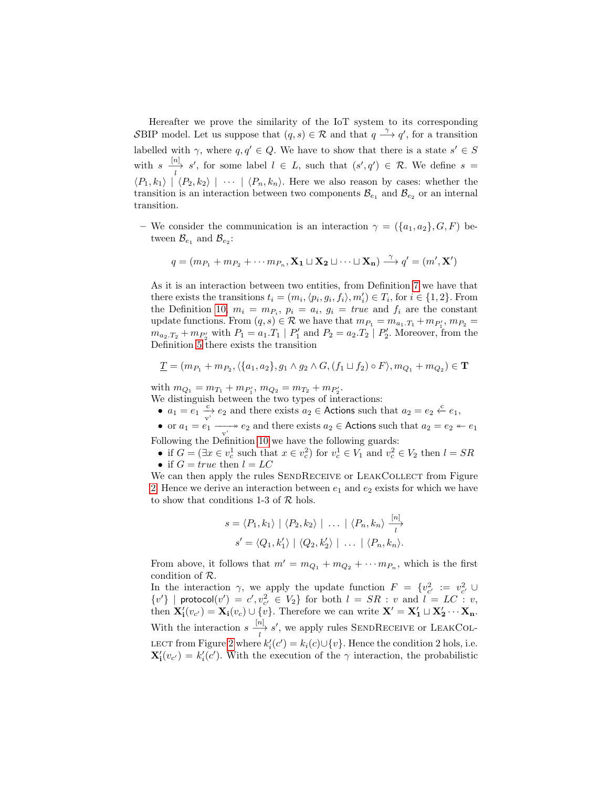Hereafter we prove the similarity of the IoT system to its corresponding SBIP model. Let us suppose that  $(q, s) \in \mathcal{R}$  and that  $q \stackrel{\gamma}{\longrightarrow} q'$ , for a transition labelled with  $\gamma$ , where  $q, q' \in Q$ . We have to show that there is a state  $s' \in S$ with  $s \xrightarrow[l]{[n]} s'$ , for some label  $l \in L$ , such that  $(s', q') \in \mathcal{R}$ . We define  $s =$  $\langle P_1, k_1 \rangle \mid \langle P_2, k_2 \rangle \mid \cdots \mid \langle P_n, k_n \rangle$ . Here we also reason by cases: whether the transition is an interaction between two components  $\mathcal{B}_{e_1}$  and  $\mathcal{B}_{e_2}$  or an internal transition.

– We consider the communication is an interaction  $\gamma = (\{a_1, a_2\}, G, F)$  between  $\mathcal{B}_{e_1}$  and  $\mathcal{B}_{e_2}$ :

$$
q = (m_{P_1} + m_{P_2} + \cdots + m_{P_n}, \mathbf{X_1} \sqcup \mathbf{X_2} \sqcup \cdots \sqcup \mathbf{X_n}) \stackrel{\gamma}{\longrightarrow} q' = (m', \mathbf{X}')
$$

As it is an interaction between two entities, from Definition [7](#page-10-2) we have that there exists the transitions  $t_i = (m_i, \langle p_i, g_i, f_i \rangle, m'_i) \in T_i$ , for  $i \in \{1, 2\}$ . From the Definition [10,](#page-12-1)  $m_i = m_{P_i}$ ,  $p_i = a_i$ ,  $g_i = true$  and  $f_i$  are the constant update functions. From  $(q, s) \in \mathcal{R}$  we have that  $m_{P_1} = m_{a_1 \cdot T_1} + m_{P'_1}, m_{P_2} =$  $m_{a_2.T_2} + m_{P'_2}$  with  $P_1 = a_1.T_1 \mid P'_1$  and  $P_2 = a_2.T_2 \mid P'_2$ . Moreover, from the Definition [5](#page-9-3) there exists the transition

$$
\underline{T} = (m_{P_1} + m_{P_2}, \langle \{a_1, a_2\}, g_1 \wedge g_2 \wedge G, (f_1 \sqcup f_2) \circ F \rangle, m_{Q_1} + m_{Q_2}) \in \mathbf{T}
$$

with  $m_{Q_1} = m_{T_1} + m_{P'_1}, m_{Q_2} = m_{T_2} + m_{P'_2}.$ 

We distinguish between the two types of interactions:

•  $a_1 = e_1 \frac{c}{v}$ ,  $e_2$  and there exists  $a_2 \in$  Actions such that  $a_2 = e_2 \stackrel{c}{\leftarrow} e_1$ ,

• or  $a_1 = e_1 \longrightarrow e_2$  and there exists  $a_2 \in$  Actions such that  $a_2 = e_2 \leftarrow e_1$ Following the Definition [10](#page-12-1) we have the following guards:

• if  $G = (\exists x \in v_c^1 \text{ such that } x \in v_c^2)$  for  $v_c^1 \in V_1$  and  $v_c^2 \in V_2$  then  $l = SR$ • if  $G = true$  then  $l = LC$ 

We can then apply the rules SENDRECEIVE or LEAKCOLLECT from Figure [2.](#page-4-0) Hence we derive an interaction between  $e_1$  and  $e_2$  exists for which we have to show that conditions 1-3 of  $R$  hols.

$$
s = \langle P_1, k_1 \rangle \mid \langle P_2, k_2 \rangle \mid \ldots \mid \langle P_n, k_n \rangle \frac{[n]}{l}
$$

$$
s' = \langle Q_1, k_1' \rangle \mid \langle Q_2, k_2' \rangle \mid \ldots \mid \langle P_n, k_n \rangle.
$$

From above, it follows that  $m' = m_{Q_1} + m_{Q_2} + \cdots + m_{P_n}$ , which is the first condition of R.

In the interaction  $\gamma$ , we apply the update function  $F = \{v_{c'}^2 := v_{c'}^2 \cup$  $\{v'\}\ \$  protocol $(v') = c', v_{c'}^2 \in V_2\}$  for both  $l = SR : v$  and  $l = LC : v$ , then  $\mathbf{X}'_i(v_{c'}) = \mathbf{X}_i(v_c) \cup \{v\}$ . Therefore we can write  $\mathbf{X}' = \mathbf{X}'_1 \sqcup \mathbf{X}'_2 \cdots \mathbf{X}_n$ . With the interaction  $s \frac{[n]}{l} s'$ , we apply rules SENDRECEIVE or LEAKCOL-LECT from Figure [2](#page-4-0) where  $k_i'(c') = k_i(c) \cup \{v\}$ . Hence the condition 2 hols, i.e.  $\mathbf{X}'_i(v_{c'}) = k'_i(c')$ . With the execution of the  $\gamma$  interaction, the probabilistic